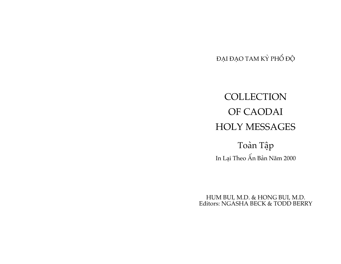ĐẠI ĐẠO TAM KỲ Y PH ổ Độ

# COLLECTION OF CAODAI HOLY MESSAGES

Toàn Tập In Lại Theo  $\hat{\rm A}$  $\hat{\rm A}$ n Bản Năm 2000

HUM BUI, M.D. & HONG BUI, M.D. Editors: NGASHA BECK & TODD BERRY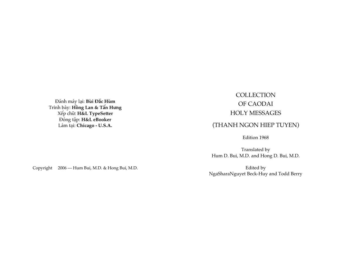$\mathbf{D}$ ánh máy lại: **Bùi Đắc Hùm** Tr`ınh bay: ` **Hˆ`ong Lan & Tˆan´ <sup>H</sup>** ˛ **ung** Xˆep ´ ch ˛ u: ˜ **H&L TypeSetter Dóng tập: H&L eBooker** Lam` tai: . **Chicago - U.S.A.**

# COLLECTIONOF CAODAI HOLY MESSAGES (THANH NGON HIEP TUYEN)

Edition 1968

Translated by Hum D. Bui, M.D. and Hong D. Bui, M.D.

Edited by NgaSharaNguyet Beck-Huy and Todd Berry

Copyright <sup>2006</sup> — Hum Bui, M.D. & Hong Bui, M.D.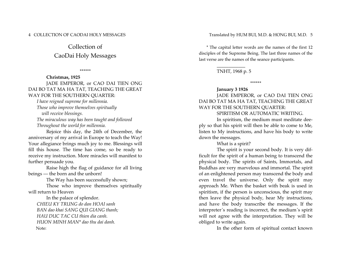# Collection of

# CaoDai Holy Messages

\*\*\*\*\*\*

## **Christmas, 1925**

# JADE EMPEROR, or CAO DAI TIEN ONG DAI BO TAT MA HA TAT, TEACHING THE GREAT WAY FOR THE SOUTHERN QUARTER:

*I have reigned supreme for millennia. Those who improve themselves spiritually will receive blessings.*

*The miraculous way has been taught and followed Throughout the world for millennia.*

Rejoice this day, the 24th of December, the anniversary of my arrival in Europe to teach the Way! Your allegiance brings much joy to me. Blessings will fill this house. The time has come, so be ready to receive my instruction. More miracles will manifest to further persuade you.

Raise high the flag of guidance for all living beings — the born and the unborn!

The Way has been successfully shown;

Those who improve themselves spiritually will return to Heaven

In the palace of splendor. *CHIEU KY TRUNG do dan HOAI sanh BAN dao khai SANG QUI GIANG thanh; HAU DUC TAC CU thien dia canh. HUON MINH MAN\* dao thu dai danh.* Note:

OF CAODAI HOLY MESSAGES Translated by HUM BUI, M.D. & HONG BUI, M.D. 5

\* The capital letter words are the names of the first <sup>12</sup> disciples of the Supreme Being. The last three names of the last verse are the names of the seance participants.

# TNHT, 1968 p. 5

\*\*\*\*\*\*

## **January 3 1926**

# JADE EMPEROR, or CAO DAI TIEN ONG DAI BO TAT MA HA TAT, TEACHING THE GREAT WAY FOR THE SOUTHERN QUARTER:

#### SPIRITISM OR AUTOMATIC WRITING.

In spiritism, the medium must meditate deeply so that his spirit will then be able to come to Me, listen to My instructions, and have his body to write down the messages.

What is a spirit?

The spirit is your second body. It is very difficult for the spirit of a human being to transcend the physical body. The spirits of Saints, Immortals, and Buddhas are very marvelous and immortal. The spirit of an enlightened person may transcend the body and even travel the universe. Only the spirit may approach Me. When the basket with beak is used in spiritism, if the person is unconscious, the spirit may then leave the physical body, hear My instructions, and have the body transcribe the messages. If the interpreter´s reading is incorrect, the medium´s spirit will not agree with the interpretation. They will be obliged to write again.

In the other form of spiritual contact known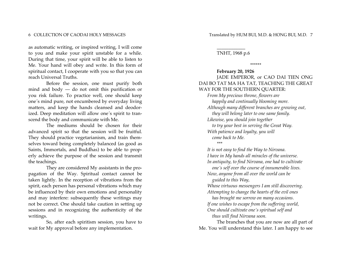#### 6 COLLECTION OF CAODAI HOLY MESSAGES Translated by HUM BUI, M.D.

as automatic writing, or inspired writing, <sup>I</sup> will come to you and make your spirit unstable for a while. During that time, your spirit will be able to listen to Me. Your hand will obey and write. In this form of spiritual contact, <sup>I</sup> cooperate with you so that you can reach Universal Truths.

Before the session, one must purify both mind and body — do not omit this purification or you risk failure. To practice well, one should keep one´s mind pure, not encumbered by everyday living matters, and keep the hands cleansed and deodorized. Deep meditation will allow one´s spirit to transcend the body and communicate with Me.

The mediums should be chosen for their advanced spirit so that the session will be fruitful. They should practice vegetarianism, and train themselves toward being completely balanced (as goo<sup>d</sup> as Saints, Immortals, and Buddhas) to be able to properly achieve the purpose of the session and transmit the teachings.

They are considered My assistants in the propagation of the Way. Spiritual contact cannot be taken lightly. In the reception of vibrations from the spirit, each person has persona<sup>l</sup> vibrations which may be influenced by their own emotions and personality and may interfere: subsequently these writings may not be correct. One should take caution in setting up sessions and in recognizing the authenticity of the writings.

So, after each spiritism session, you have to wait for My approval before any implementation.

# TNHT, 1968 p.6

\*\*\*\*\*\*

**February 20, <sup>1926</sup>** JADE EMPEROR, or CAO DAI TIEN ONG DAI BO TAT MA HA TAT, TEACHING THE GREAT WAY FOR THE SOUTHERN QUARTER:

*From My precious throne, flowers are happily and continually blooming more. Although many different branches are growing out, they will belong later to one same family. Likewise, you should join together to try your best in serving the Great Way. With patience and loyalty, you will come back to Me. \*\*\**

*It is not easy to find the Way to Nirvana. I have in My hands all miracles of the universe. In antiquity, to find Nirvana, one had to cultivate one´s self over the course of innumerable lives. Now, anyone from all over the world can be guided to this Way,*

*Whose virtuous messengers <sup>I</sup> am still discovering. Attempting to change the hearts of the evil ones*

*has brought me sorrow on many occasions. If one wishes to escape from the suffering world, One should cultivate one´s spiritual self and thus will find Nirvana soon.*

The branches that you are now are all par<sup>t</sup> of Me. You will understand this later. I am happy to see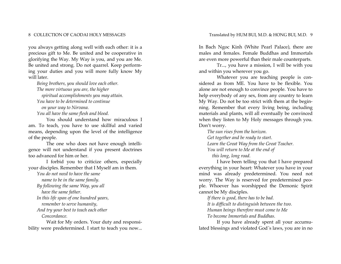you always getting along well with each other: it is a precious gift to Me. Be united and be cooperative in glorifying the Way. My Way is you, and you are Me. Be united and strong. Do not quarrel. Keep performing your duties and you will more fully know My will later.

*Being brothers, you should love each other. The more virtuous you are, the higher spiritual accomplishments you may attain. You have to be determined to continue on your way to Nirvana. You all have the same flesh and blood.*

You should understand how miraculous I am. To teach, you have to use skillful and varied means, depending upon the level of the intelligence of the people.

The one who does not have enough intelligence will not understand if you presen<sup>t</sup> doctrines too advanced for him or her.

I forbid you to criticize others, especially your disciples. Remember that <sup>I</sup> Myself am in them.

*You do not need to have the same name to be in the same family. By following the same Way, you all*

*have the same father.*

*In this life span of one hundred years,*

*remember to serve humanity,*

*And try your best to teach each other*

*Concordance.*

Wait for My orders. Your duty and responsibility were predetermined. <sup>I</sup> start to teach you now... In Bach Ngoc Kinh (White Pearl Palace), there are males and females. Female Buddhas and Immortals are even more powerful than their male counterparts.

Tr..., you have a mission, <sup>I</sup> will be with you and within you wherever you go.

Whatever you are teaching people is considered as from ME. You have to be flexible. You alone are not enough to convince people. You have to help everybody of any sex, from any country to learn My Way. Do not be too strict with them at the beginning. Remember that every living being, including materials and plants, will all eventually be convinced when they listen to My Holy messages through you. Don't worry.

*The sun rises from the horizon. Get together and be ready to start. Learn the Great Way from the Great Teacher. You will return to Me at the end of this long, long road.*

I have been telling you that <sup>I</sup> have prepare<sup>d</sup> everything in your heart: Whatever you have in your mind was already predetermined. You need not worry. The Way is reserved for predetermined people. Whoever has worshipped the Demonic Spirit cannot be My disciples.

*If there is good, there has to be bad. It is difficult to distinguish between the two. Human beings therefore must come to Me To become Immortals and Buddhas.*

If you have already spen<sup>t</sup> all your accumulated blessings and violated God´s laws, you are in no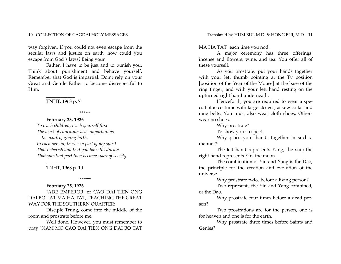way forgiven. If you could not even escape from the secular laws and justice on earth, how could you escape from God´s laws? Being your

Father, <sup>I</sup> have to be just and to punish you. Think about punishment and behave yourself. Remember that God is impartial: Don't rely on your Great and Gentle Father to become disrespectful to Him.

> \_\_\_\_\_\_\_\_\_\_\_\_\_\_\_\_\_\_\_\_ TNHT, 1968 p. 7

> > \*\*\*\*\*\*

**February 23, <sup>1926</sup>** *To teach children, teach yourself first The work of education is as important as the work of giving birth. In each person, there is <sup>a</sup> par<sup>t</sup> of my spirit That I cherish and that you have to educate. That spiritual par<sup>t</sup> then becomes par<sup>t</sup> of society.*

TNHT, 1968 p. 10

\*\*\*\*\*\*

# **February 25, <sup>1926</sup>**

JADE EMPEROR, or CAO DAI TIEN ONG DAI BO TAT MA HA TAT, TEACHING THE GREAT WAY FOR THE SOUTHERN QUARTER:

Disciple Trung, come into the middle of the room and prostrate before me.

Well done. However, you must remember to pray "NAM MO CAO DAI TIEN ONG DAI BO TAT MA HA TAT" each time you nod.

A major ceremony has three offerings: incense and flowers, wine, and tea. You offer all of these yourself.

As you prostrate, pu<sup>t</sup> your hands together with your left thumb pointing at the Ty position [position of the Year of the Mouse] at the base of the ring finger, and with your left hand resting on the upturned right hand underneath.

Henceforth, you are required to wear a special blue costume with large sleeves, askew collar and nine belts. You must also wear cloth shoes. Others wear no shoes.

Why prostrate?

To show your respect.

Why place your hands together in such a manner?

The left hand represents Yang, the sun; the right hand represents Yin, the moon.

The combination of Yin and Yang is the Dao, the principle for the creation and evolution of the universe.

Why prostrate twice before a living person?

Two represents the Yin and Yang combined, or the Dao.

Why prostrate four times before a dead person?

Two prostrations are for the person, one is for heaven and one is for the earth.

Why prostrate three times before Saints and Genies?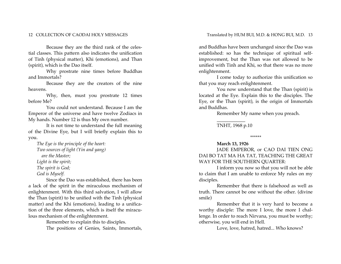Because they are the third rank of the celestial classes. This pattern also indicates the unification of Tinh (physical matter), Khi (emotions), and Than (spirit), which is the Dao itself.

Why prostrate nine times before Buddhas and Immortals?

Because they are the creators of the nine heavens.

Why, then, must you prostrate <sup>12</sup> times before Me?

You could not understand. Because I am the Emperor of the universe and have twelve Zodiacs in My hands. Number <sup>12</sup> is thus My own number.

It is not time to understand the full meaning of the Divine Eye, but <sup>I</sup> will briefly explain this to you.

*The Eye is the principle of the heart: Two sources of light (Yin and yang) are the Master; Light is the spirit; The spirit is God; God is Myself.*

Since the Dao was established, there has been a lack of the spirit in the miraculous mechanism of enlightenment. With this third salvation, <sup>I</sup> will allow the Than (spirit) to be unified with the Tinh (physical matter) and the Khi (emotions), leading to a unification of the three elements, which is itself the miraculous mechanism of the enlightenment.

> Remember to explain this to disciples. The positions of Genies, Saints, Immortals,

OF CAODAI HOLY MESSAGES Translated by HUM BUI, M.D. & HONG BUI, M.D. 13

and Buddhas have been unchanged since the Dao was established: so has the technique of spiritual selfimprovement, but the Than was not allowed to be unified with Tinh and Khi, so that there was no more enlightenment.

I come today to authorize this unification so that you may reach enlightenment.

You now understand that the Than (spirit) is located at the Eye. Explain this to the disciples. The Eye, or the Than (spirit), is the origin of Immortals and Buddhas.

Remember My name when you preach.

TNHT, 1968 p.10

\*\*\*\*\*\*

#### **March 13, 1926**

JADE EMPEROR, or CAO DAI TIEN ONG DAI BO TAT MA HA TAT, TEACHING THE GREAT WAY FOR THE SOUTHERN QUARTER:

I inform you now so that you will not be able to claim that <sup>I</sup> am unable to enforce My rules on my disciples.

Remember that there is falsehood as well as truth. There cannot be one without the other. (divine smile)

Remember that it is very hard to become a worthy disciple: The more <sup>I</sup> love, the more <sup>I</sup> challenge. In order to reach Nirvana, you must be worthy; otherwise, you will end in Hell.

Love, love, hatred, hatred... Who knows?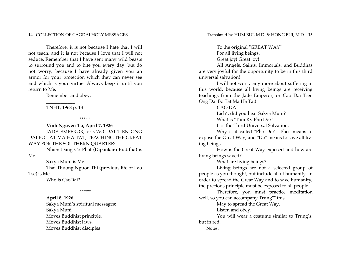Therefore, it is not because I hate that I will not teach, and it is not because I love that I will not seduce. Remember that I have sent many wild beasts to surround you and to bite you every day; but do not worry, because <sup>I</sup> have already given you an armor for your protection which they can never see and which is your virtue. Always keep it until you return to Me.

Remember and obey.

TNHT, 1968 p. 13

\*\*\*\*\*\*

**Vinh Nguyen Tu, April 7, <sup>1926</sup>** JADE EMPEROR, or CAO DAI TIEN ONG DAI BO TAT MA HA TAT, TEACHING THE GREAT WAY FOR THE SOUTHERN QUARTER:

Nhien Dang Co Phat (Dipankara Buddha) is

Me.

Sakya Muni is Me. Thai Thuong Nguon Thi (previous life of Lao Tse) is Me.

Who is CaoDai?

\*\*\*\*\*\*

**April 8, 1926**

Sakya Muni´s spiritual messages: Sakya Muni Moves Buddhist principle, Moves Buddhist laws, Moves Buddhist disciples

To the original "GREAT WAY" For all living beings. Great joy! Great joy!

All Angels, Saints, Immortals, and Buddhas are very joyful for the opportunity to be in this third universal salvation!

I will not worry any more about suffering in this world, because all living beings are receiving teachings from the Jade Emperor, or Cao Dai Tien Ong Dai Bo Tat Ma Ha Tat!

CAO DAI

Lich\*, did you hear Sakya Muni?

What is "Tam Ky Pho Do?"

It is the Third Universal Salvation.

Why is it called "Pho Do?" "Pho" means to expose the Great Way, and "Do" means to save all living beings.

How is the Great Way expose<sup>d</sup> and how are living beings saved?

What are living beings?

Living beings are not a selected group of people as you thought, but include all of humanity. In order to sprea<sup>d</sup> the Great Way and to save humanity, the precious principle must be exposed to all people.

Therefore, you must practice meditation well, so you can accompany Trung\*\* this

May to sprea<sup>d</sup> the Great Way.

Listen and obey.

You will wear a costume similar to Trung's, but in red.

Notes: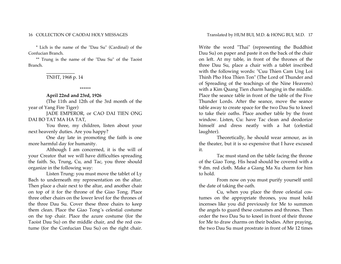\* Lich is the name of the "Dau Su" (Cardinal) of the Confucian Branch.

\*\* Trung is the name of the "Dau Su" of the Taoist Branch.

# TNHT, 1968 p. 14

\*\*\*\*\*\*

## **April 22nd and 23rd, 1926**

(The 11th and 12th of the 3rd month of the year of Yang Fire Tiger)

JADE EMPEROR, or CAO DAI TIEN ONG DAI BO TAT MA HA TAT,

You three, my children, listen about your next heavenly duties. Are you happy?

One day late in promoting the faith is one more harmful day for humanity.

Although <sup>I</sup> am concerned, it is the will of your Creator that we will have difficulties spreading the faith. So, Trung, Cu, and Tac, you three should organize in the following way:

Listen Trung: you must move the tablet of Ly Bach to underneath my representation on the altar. Then place a chair next to the altar, and another chair on top of it for the throne of the Giao Tong. Place three other chairs on the lower level for the thrones of the three Dau Su. Cover these three chairs to keep them clean. Place the Giao Tong´s celestial costume on the top chair. Place the azure costume (for the Taoist Dau Su) on the middle chair, and the red costume (for the Confucian Dau Su) on the right chair.

Write the word "Thai" (representing the Buddhist Dau Su) on paper and paste it on the back of the chair on left. At my table, in front of the thrones of the three Dau Su, place a chair with a tablet inscribed with the following words: "Cuu Thien Cam Ung Loi Thinh Pho Hoa Thien Ton" (The Lord of Thunder and of Spreading of the teachings of the Nine Heavens) with a Kim Quang Tien charm hanging in the middle. Place the seance table in front of the table of the Five Thunder Lords. After the seance, move the seance table away to create space for the two Dau Su to kneel to take their oaths. Place another table by the front window. Listen, Cu: have Tac clean and deodorize himself and dress neatly with a hat (celestial laughter).

Theoretically, he should wear armour, as in the theater, but it is so expensive that <sup>I</sup> have excused it.

Tac must stand on the table facing the throne of the Giao Tong. His head should be covered with a 9 dm. red cloth. Make a Giang Ma Xu charm for him to hold.

From now on you must purify yourself until the date of taking the oath.

Cu, when you place the three celestial costumes on the appropriate thrones, you must hold incenses like you did previously for Me to summon the angels to guar<sup>d</sup> these costumes and thrones. Then order the two Dau Su to kneel in front of their throne for Me to draw charms on their bodies. After praying, the two Dau Su must prostrate in front of Me <sup>12</sup> times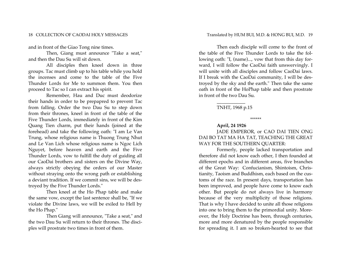and in front of the Giao Tong nine times.

Then, Giang must announce "Take a seat," and then the Dau Su will sit down.

All disciples then kneel down in three groups. Tac must climb up to his table while you hold the incenses and come to the table of the Five Thunder Lords for Me to summon them. You then procee<sup>d</sup> to Tac so <sup>I</sup> can extract his spirit.

Remember, Hau and Duc must deodorize their hands in order to be prepapred to preven<sup>t</sup> Tac from falling. Order the two Dau Su to step down from their thrones, kneel in front of the table of the Five Thunder Lords, immediately in front of the Kim Quang Tien charm, pu<sup>t</sup> their hands (joined at the forehead) and take the following oath: "I am Le Van Trung, whose religious name is Thuong Trung Nhut and Le Van Lich whose religious name is Ngoc Lich Nguyet, before heaven and earth and the Five Thunder Lords, vow to fulfill the duty of guiding all our CaoDai brothers and sisters on the Divine Way, always strictly obeying the orders of our Master without straying onto the wrong path or establishing a deviant tradition. If we commit sins, we will be destroyed by the Five Thunder Lords."

Then kneel at the Ho Phap table and make the same vow, excep<sup>t</sup> the last sentence shall be, "If we violate the Divine laws, we will be exiled to Hell by the Ho Phap."

Then Giang will announce, "Take a seat," and the two Dau Su will return to their thrones. The disciples will prostrate two times in front of them.

Then each disciple will come to the front of the table of the Five Thunder Lords to take the following oath: "I, (name)..., vow that from this day forward, <sup>I</sup> will follow the CaoDai faith unswervingly. <sup>I</sup> will unite with all disciples and follow CaoDai laws. If I break with the CaoDai community, <sup>I</sup> will be destroyed by the sky and the earth." Then take the same oath in front of the HoPhap table and then prostrate in front of the two Dau Su.

# TNHT, 1968 p.15

## **April, <sup>24</sup> 1926**

# JADE EMPEROR, or CAO DAI TIEN ONG DAI BO TAT MA HA TAT, TEACHING THE GREAT WAY FOR THE SOUTHERN QUARTER:

\*\*\*\*\*\*

Formerly, people lacked transportation and therefore did not know each other, I then founded at different epochs and in different areas, five branches of the Great Way: Confucianism, Shintoism, Christianity, Taoism and Buddhism, each based on the customs of the race. In presen<sup>t</sup> days, transportation has been improved, and people have come to know each other. But people do not always live in harmony because of the very multiplicity of those religions. That is why <sup>I</sup> have decided to unite all those religions into one to bring them to the primordial unity. Moreover, the Holy Doctrine has been, through centuries, more and more denatured by the people responsible for spreading it. <sup>I</sup> am so broken-hearted to see that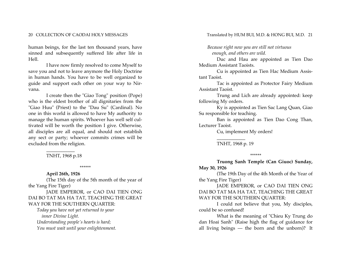human beings, for the last ten thousand years, have sinned and subsequently suffered life after life in Hell.

I have now firmly resolved to come Myself to save you and not to leave anymore the Holy Doctrine in human hands. You have to be well organized to guide and suppor<sup>t</sup> each other on your way to Nirvana.

I create then the "Giao Tong" position (Pope) who is the eldest brother of all dignitaries from the "Giao Huu" (Priest) to the "Dau Su" (Cardinal). No one in this world is allowed to have My authority to manage the human spirits. Whoever has well self cultivated will be worth the position <sup>I</sup> give. Otherwise, all disciples are all equal, and should not establish any sect or party; whoever commits crimes will be excluded from the religion.

> \_\_\_\_\_\_\_\_\_\_\_\_\_\_\_\_\_\_\_\_ TNHT, 1968 p.18

> > \*\*\*\*\*\*

## **April 26th, 1926**

(The 15th day of the 5th month of the year of the Yang Fire Tiger)

JADE EMPEROR, or CAO DAI TIEN ONG DAI BO TAT MA HA TAT, TEACHING THE GREAT WAY FOR THE SOUTHERN QUARTER:

*Today you have not ye<sup>t</sup> returned to your inner Divine Light. Understanding people´s hearts is hard; You must wait until your enlightenment.*

OF CAODAI HOLY MESSAGES Translated by HUM BUI, M.D. & HONG BUI, M.D. 21

*Because right now you are still not virtuous enough, and others are wild.*

Duc and Hau are appointed as Tien Dao Medium Assistant Taoists.

Cu is appointed as Tien Hac Medium Assistant Taoist.

Tac is appointed as Protector Fairy Medium Assistant Taoist.

Trung and Lich are already appointed: keep following My orders.

Ky is appointed as Tien Sac Lang Quan, Giao Su responsible for teaching.

Ban is appointed as Tien Dao Cong Than, Lecturer Taoist.

Cu, implement My orders!

TNHT, 1968 p. 19

\*\*\*\*\*\*

**Truong Sanh Temple (Can Giuoc) Sunday, May 30, 1926**

(The 19th Day of the 4th Month of the Year of the Yang Fire Tiger)

JADE EMPEROR, or CAO DAI TIEN ONG DAI BO TAT MA HA TAT, TEACHING THE GREAT WAY FOR THE SOUTHERN QUARTER:

I could not believe that you, My disciples, could be so confused!

What is the meaning of "Chieu Ky Trung do dan Hoai Sanh" (Raise high the flag of guidance for all living beings — the born and the unborn)? It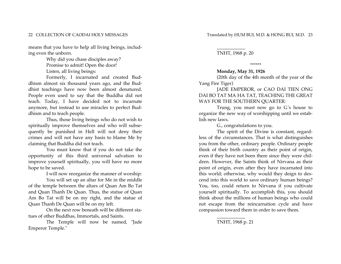means that you have to help all living beings, including even the unborn.

> Why did you chase disciples away? Promise to admit! Open the door!

Listen, all living beings:

Formerly, <sup>I</sup> incarnated and created Buddhism almost six thousand years ago, and the Buddhist teachings have now been almost denatured. People even used to say that the Buddha did not teach. Today, <sup>I</sup> have decided not to incarnate anymore, but instead to use miracles to perfect Buddhism and to teach people.

Thus, those living beings who do not wish to spiritually improve themselves and who will subsequently be punished in Hell will not deny their crimes and will not have any basis to blame Me by claiming that Buddha did not teach.

You must know that if you do not take the opportunity of this third universal salvation to improve yourself spiritually, you will have no more hope to be saved.

I will now reorganize the manner of worship:

You will set up an altar for Me in the middle of the temple between the altars of Quan Am Bo Tat and Quan Thanh De Quan. Thus, the statue of Quan Am Bo Tat will be on my right, and the statue of Quan Thanh De Quan will be on my left.

On the next row beneath will be different statues of other Buddhas, Immortals, and Saints.

The Temple will now be named, "Jade Emperor Temple."

# TNHT, 1968 p. 20

\*\*\*\*\*\*

## **Monday, May 31, <sup>1926</sup>**

(20th day of the 4th month of the year of the Yang Fire Tiger)

JADE EMPEROR, or CAO DAI TIEN ONG DAI BO TAT MA HA TAT, TEACHING THE GREAT WAY FOR THE SOUTHERN QUARTER:

Trung, you must now go to G´s house to organize the new way of worshipping until we establish new laws.

G., congratulations to you.

The spirit of the Divine is constant, regardless of the circumstances. That is what distinguishes you from the other, ordinary people. Ordinary people think of their birth country as their point of origin, even if they have not been there since they were children. However, the Saints think of Nirvana as their point of origin, even after they have incarnated into this world; otherwise, why would they deign to descend into this world to save ordinary human beings? You, too, could return to Nirvana if you cultivate yourself spiritually. To accomplish this, you should think about the millions of human beings who could not escape from the reincarnation cycle and have compassion toward them in order to save them.

TNHT, 1968 p. 21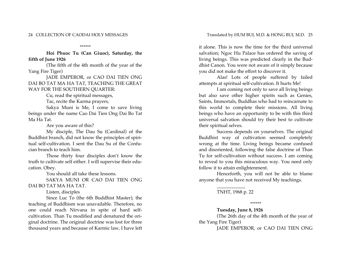#### \*\*\*\*\*\*

# **Hoi Phuoc Tu (Can Giuoc), Saturday, the fifth of June 1926**

(The fifth of the 4th month of the year of the Yang Fire Tiger)

JADE EMPEROR, or CAO DAI TIEN ONG DAI BO TAT MA HA TAT, TEACHING THE GREAT WAY FOR THE SOUTHERN QUARTER:

Cu, read the spiritual messages,

Tac, recite the Karma prayers,

Sakya Muni is Me, <sup>I</sup> come to save living beings under the name Cao Dai Tien Ong Dai Bo Tat Ma Ha Tat.

Are you aware of this?

My disciple, The Dau Su (Cardinal) of the Buddhist branch, did not know the principles of spiritual self-cultivation. I sent the Dau Su of the Confucian branch to teach him.

Those thirty four disciples don't know the truth to cultivate self either. <sup>I</sup> will supervise their education. Obey.

You should all take these lessons.

SAKYA MUNI OR CAO DAI TIEN ONG DAI BO TAT MA HA TAT.

Listen, disciples

Since Luc To (the 6th Buddhist Master), the teaching of Buddhism was unavailable. Therefore, no one could reach Nirvana in spite of hard selfcultivation. Than Tu modified and denatured the original doctrine. The original doctrine was lost for three thousand years and because of Karmic law, <sup>I</sup> have left

it alone. This is now the time for the third universal salvation; Ngoc Hu Palace has ordered the saving of living beings. This was predicted clearly in the Buddhist Canon. You were not aware of it simply because you did not make the effort to discover it.

Alas! Lots of people suffered by failed attempts at spiritual self-cultivation. It hurts Me!

I am coming not only to save all living beings but also save other higher spirits such as Genies, Saints, Immortals, Buddhas who had to reincarnate to this world to complete their missions. All living beings who have an opportunity to be with this third universal salvation should try their best to cultivate their spiritual selves.

Success depends on yourselves. The original Buddhist way of cultivation seemed completely wrong at the time. Living beings became confused and disoriented, following the false doctrine of Than Tu for self-cultivation without success. I am coming to reveal to you this miraculous way. You need only follow it to attain enlightenment.

Henceforth, you will not be able to blame anyone that you have not received My teachings.

TNHT, 1968 p. 22

\_\_\_\_\_\_\_\_\_\_\_\_\_\_\_\_\_\_\_\_

#### \*\*\*\*\*\*

# **Tuesday, June 8, <sup>1926</sup>**

(The 26th day of the 4th month of the year of the Yang Fire Tiger)

JADE EMPEROR, or CAO DAI TIEN ONG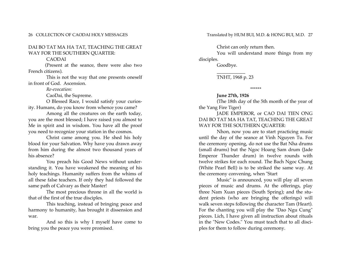# DAI BO TAT MA HA TAT, TEACHING THE GREAT WAY FOR THE SOUTHERN QUARTER:

## CAODAI

(Present at the seance, there were also two French citizens).

This is not the way that one presents oneself in front of God. Ascension.

*Re-evocation:*

CaoDai, the Supreme.

O Blessed Race, <sup>I</sup> would satisfy your curiosity. Humans, do you know from whence you came?

Among all the creatures on the earth today, you are the most blessed; <sup>I</sup> have raised you almost to Me in spirit and in wisdom. You have all the proo<sup>f</sup> you need to recognize your station in the cosmos.

Christ came among you. He shed his holy blood for your Salvation. Why have you drawn away from him during the almost two thousand years of his absence?

You preach his Good News without understanding it. You have weakened the meaning of his holy teachings. Humanity suffers from the whims of all these false teachers. If only they had followed the same path of Calvary as their Master!

The most precious throne in all the world is that of the first of the true disciples.

This teaching, instead of bringing peace and harmony to humanity, has brought it dissension and war.

And so this is why <sup>I</sup> myself have come to bring you the peace you were promised.

OF CAODAI HOLY MESSAGES Translated by HUM BUI, M.D. & HONG BUI, M.D. 27

Christ can only return then.

You will understand more things from my disciples.

Goodbye.

TNHT, 1968 p. 23

\*\*\*\*\*\*

**June 27th, 1926**

(The 18th day of the 5th month of the year of the Yang Fire Tiger)

JADE EMPEROR, or CAO DAI TIEN ONG DAI BO TAT MA HA TAT, TEACHING THE GREAT WAY FOR THE SOUTHERN QUARTER:

Nhon, now you are to start practicing music until the day of the seance at Vinh Nguyen Tu. For the ceremony opening, do not use the Bat Nha drums (small drums) but the Ngoc Hoang Sam drum (Jade Emperor Thunder drum) in twelve rounds with twelve strikes for each round. The Bach Ngoc Chung (White Pearl Bell) is to be striked the same way. At the ceremony convening, when "Start

Music" is announced, you will play all seven pieces of music and drums. At the offerings, play three Nam Xuan pieces (South Spring); and the student priests (who are bringing the offerings) will walk seven steps following the character Tam (Heart). For the chanting you will play the "Dao Ngu Cung" pieces. Lich, <sup>I</sup> have given all instruction about rituals in the "New Codes." You must teach that to all disciples for them to follow during ceremony.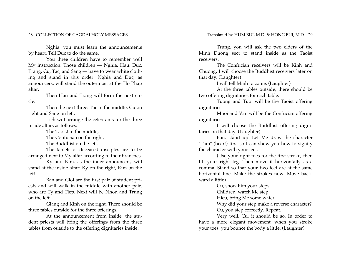Nghia, you must learn the announcements by heart. Tell Duc to do the same.

You three children have to remember well My instruction. Those children — Nghia, Hau, Duc, Trang, Cu, Tac, and Sang — have to wear white clothing and stand in this order: Nghia and Duc, as announcers, will stand the outermost at the Ho Phap altar.

Then Hau and Trang will form the next circle.

Then the next three: Tac in the middle, Cu on right and Sang on left.

Lich will arrange the celebrants for the three inside altars as follows:

The Taoist in the middle,

The Confucian on the right,

The Buddhist on the left.

The tablets of deceased disciples are to be arrange<sup>d</sup> next to My altar according to their branches.

Ky and Kim, as the inner announcers, will stand at the inside altar: Ky on the right, Kim on the left.

Ban and Gioi are the first pair of student priests and will walk in the middle with another pair, who are Ty and Tiep. Next will be Nhon and Trung on the left,

Giang and Kinh on the right. There should be three tables outside for the three offerings.

At the announcement from inside, the student priests will bring the offerings from the three tables from outside to the offering dignitaries inside.

Trung, you will ask the two elders of the Minh Duong sect to stand inside as the Taoist receivers.

The Confucian receivers will be Kinh andChuong. <sup>I</sup> will choose the Buddhist receivers later on that day. (Laughter)

I will tell Minh to come. (Laughter)

At the three tables outside, there should be two offering dignitaries for each table.

Tuong and Tuoi will be the Taoist offering dignitaries.

Muoi and Van will be the Confucian offering dignitaries.

I will choose the Buddhist offering dignitaries on that day. (Laughter)

Ban, stand up. Let Me draw the character "Tam" (heart) first so <sup>I</sup> can show you how to signify the character with your feet.

(Use your right toes for the first stroke, then lift your right leg. Then move it horizontally as a comma. Stand so that your two feet are at the same horizontal line. Make the strokes now. Move backward a little)

Cu, show him your steps.

Children, watch Me step.

Hieu, bring Me some water.

Why did your step make a reverse character? Cu, you step correctly. Repeat.

Very well, Cu, it should be so. In order to have a more elegant movement, when you stroke your toes, you bounce the body a little. (Laughter)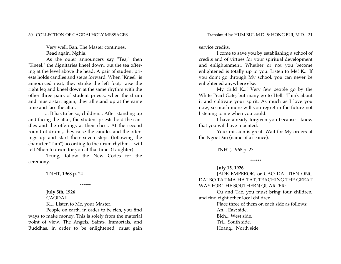Very well, Ban. The Master continues. Read again, Nghia.

As the outer announcers say "Tea," then "Kneel," the dignitaries kneel down, pu<sup>t</sup> the tea offering at the level above the head. A pair of student priests holds candles and steps forward. When "Kneel" is announced next, they stroke the left foot, raise the right leg and kneel down at the same rhythm with the other three pairs of student priests; when the drum and music start again, they all stand up at the same time and face the altar.

... It has to be so, children... After standing up and facing the altar, the student priests hold the candles and the offerings at their chest. At the second round of drums, they raise the candles and the offerings up and start their seven steps (following the character "Tam") according to the drum rhythm. <sup>I</sup> will tell Nhon to drum for you at that time. (Laughter)

Trung, follow the New Codes for the ceremony.

TNHT, 1968 p. 24

\_\_\_\_\_\_\_\_\_\_\_\_\_\_\_\_\_\_\_\_

\*\*\*\*\*\*

**July 5th, <sup>1926</sup>** CAODAI

K..., Listen to Me, your Master.

People on earth, in order to be rich, you find ways to make money. This is solely from the material point of view. The Angels, Saints, Immortals, and Buddhas, in order to be enlightened, must gain

service credits.

I come to save you by establishing a school of credits and of virtues for your spiritual development and enlightenment. Whether or not you become enlightened is totally up to you. Listen to Me! K... If you don't go through My school, you can never be enlightened anywhere else.

My child K...! Very few people go by the White Pearl Gate, but many go to Hell. Think about it and cultivate your spirit. As much as <sup>I</sup> love you now, so much more will you regre<sup>t</sup> in the future not listening to me when you could.

I have already forgiven you because <sup>I</sup> know that you will have repented.

Your mission is great. Wait for My orders at the Ngoc Dan (name of a seance).

TNHT, 1968 p. 27

\*\*\*\*\*\*

## **July 15, <sup>1926</sup>**

JADE EMPEROR, or CAO DAI TIEN ONG DAI BO TAT MA HA TAT, TEACHING THE GREAT WAY FOR THE SOUTHERN QUARTER:

Cu and Tac, you must bring four children, and find eight other local children.

Place three of them on each side as follows: An... East side. Bich... West side. Tri... South side. Hoang... North side.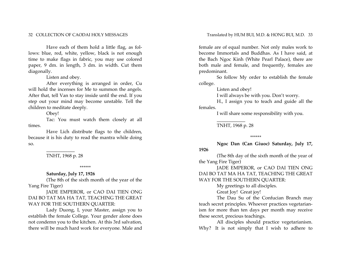Have each of them hold a little flag, as follows: blue, red, white, yellow, black is not enough time to make flags in fabric, you may use colored paper, 9 dm. in length, 3 dm. in width. Cut them diagonally.

Listen and obey.

After everything is arrange<sup>d</sup> in order, Cu will hold the incenses for Me to summon the angels. After that, tell Van to stay inside until the end. If you step out your mind may become unstable. Tell the children to meditate deeply.

Obey!

Tac: You must watch them closely at all times.

Have Lich distribute flags to the children, because it is his duty to read the mantra while doing so.

TNHT, 1968 p. 28

\_\_\_\_\_\_\_\_\_\_\_\_\_\_\_\_\_\_\_\_

\*\*\*\*\*\*

**Saturday, July 17, <sup>1926</sup>**

(The 8th of the sixth month of the year of the Yang Fire Tiger)

JADE EMPEROR, or CAO DAI TIEN ONG DAI BO TAT MA HA TAT, TEACHING THE GREAT WAY FOR THE SOUTHERN QUARTER:

Lady Duong, I, your Master, assign you to establish the female College. Your gender alone does not condemn you to the kitchen. At this 3rd salvation, there will be much hard work for everyone. Male and

OF CAODAI HOLY MESSAGES Translated by HUM BUI, M.D. & HONG BUI, M.D. 33

female are of equal number. Not only males work to become Immortals and Buddhas. As I have said, at the Bach Ngoc Kinh (White Pearl Palace), there are both male and female, and frequently, females are predominant.

So follow My order to establish the female college.

Listen and obey!

I will always be with you. Don't worry.

H., <sup>I</sup> assign you to teach and guide all the females.

I will share some responsibility with you.

TNHT, 1968 p. 28

**1926**

\*\*\*\*\*\*

**Ngoc Dan (Can Giuoc) Saturday, July 17,**

(The 8th day of the sixth month of the year of the Yang Fire Tiger)

JADE EMPEROR, or CAO DAI TIEN ONG DAI BO TAT MA HA TAT, TEACHING THE GREAT WAY FOR THE SOUTHERN QUARTER:

My greetings to all disciples.

Great Joy! Great joy!

The Dau Su of the Confucian Branch may teach secret principles. Whoever practices vegetarianism for more than ten days per month may receive these secret, precious teachings.

All disciples should practice vegetarianism. Why? It is not simply that <sup>I</sup> wish to adhere to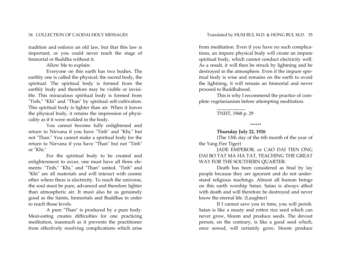tradition and enforce an old law, but that this law is important, or you could never reach the stage of Immortal or Buddha without it.

Allow Me to explain:

Everyone on this earth has two bodies. The earthly one is called the physical; the sacred body, the spiritual. The spiritual body is formed from the earthly body and therefore may be visible or invisible. This miraculous spiritual body is formed from "Tinh," "Khi" and "Than" by spiritual self-cultivation. This spiritual body is lighter than air. When it leaves the physical body, it retains the impression of physicality as if it were molded in the body.

You cannot become fully enlightened and return to Nirvana if you have "Tinh" and "Khi," but not "Than." You cannot make a spiritual body for the return to Nirvana if you have "Than" but not "Tinh" or "Khi."

For the spiritual body to be created and enlightenment to occur, one must have all three elements: "Tinh," "Khi," and "Than" united. "Tinh" and "Khi" are all materials and will interact with cosmic ether where there is electricity. To reach the universe, the soul must be pure, advanced and therefore lighter than atmospheric air. It must also be as genuinely goo<sup>d</sup> as the Saints, Immortals and Buddhas in order to reach those levels.

A pure "Than" is produced by a pure body. Meat-eating creates difficulties for one practicing meditation, inasmuch as it prevents the practitioner from effectively resolving complications which arise

from meditation. Even if you have no such complications, an impure physical body will create an impure spiritual body, which cannot conduct electricity well. As a result, it will then be struck by lightning and be destroyed in the atmosphere. Even if the impure spiritual body is wise and remains on the earth to avoid the lightning, it will remain an Immortal and never procee<sup>d</sup> to Buddhahood.

This is why <sup>I</sup> recommend the practice of complete vegetarianism before attempting meditation.

TNHT, 1968 p. 29

# **Thursday July 22, <sup>1926</sup>**

(The 13th day of the 6th month of the year of the Yang Fire Tiger)

\*\*\*\*\*\*

JADE EMPEROR, or CAO DAI TIEN ONG DAI BO TAT MA HA TAT, TEACHING THE GREAT WAY FOR THE SOUTHERN QUARTER:

Death has been considered as final by lay people because they are ignorant and do not understand religious teachings. Almost all human beings on this earth worship Satan. Satan is always allied with death and will therefore be destroyed and never know the eternal life. (Laughter)

If I cannot save you in time, you will perish. Satan is like a musty and rotten rice seed which can never grow, bloom and produce seeds. The devout person, on the contrary, is like a goo<sup>d</sup> seed which, once sowed, will certainly grow, bloom produce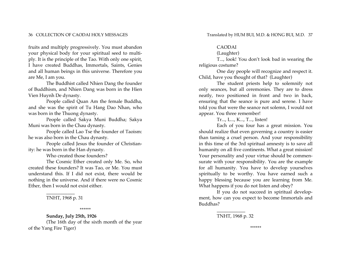fruits and multiply progressively. You must abandon your physical body for your spiritual seed to multiply. It is the principle of the Tao. With only one spirit, I have created Buddhas, Immortals, Saints, Genies and all human beings in this universe. Therefore you are Me, I am you.

The Buddhist called Nhien Dang the founder of Buddhism, and Nhien Dang was born in the Hien Vien Huynh De dynasty.

People called Quan Am the female Buddha, and she was the spirit of Tu Hang Dao Nhan, who was born in the Thuong dynasty.

People called Sakya Muni Buddha; Sakya Muni was born in the Chau dynasty.

People called Lao Tse the founder of Taoism: he was also born in the Chau dynasty.

People called Jesus the founder of Christianity: he was born in the Han dynasty.

Who created those founders?

The Cosmic Ether created only Me. So, who created these founders? It was Tao, or Me. You must understand this. If I did not exist, there would be nothing in the universe. And if there were no Cosmic Ether, then I would not exist either.

TNHT, 1968 p. 31

\*\*\*\*\*\*

**Sunday, July 25th, <sup>1926</sup>** (The 16th day of the sixth month of the year of the Yang Fire Tiger)

## CAODAI

(Laughter)

T..., look! You don't look bad in wearing the religious costume?

One day people will recognize and respec<sup>t</sup> it. Child, have you thought of that? (Laughter)

The student priests help to solemnify not only seances, but all ceremonies. They are to dress neatly, two positioned in front and two in back, ensuring that the seance is pure and serene. <sup>I</sup> have told you that were the seance not solemn, <sup>I</sup> would not appear. You three remember!

Tr..., L..., K..., T..., listen!

Each of you four has a grea<sup>t</sup> mission. You should realize that even governing a country is easier than taming a cruel person. And your responsibility in this time of the 3rd spiritual amnesty is to save all humanity on all five continents. What a grea<sup>t</sup> mission! Your personality and your virtue should be commensurate with your responsibility. You are the example for all humanity. You have to develop yourselves spiritually to be worthy. You have earned such a happy blessing because you are learning from Me. What happens if you do not listen and obey?

If you do not succeed in spiritual development, how can you expec<sup>t</sup> to become Immortals and Buddhas?

TNHT, 1968 p. 32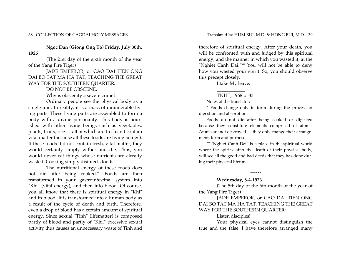# **Ngoc Dan (Giong Ong To) Friday, July 30th, 1926**

(The 21st day of the sixth month of the year of the Yang Fire Tiger)

# JADE EMPEROR, or CAO DAI TIEN ONG DAI BO TAT MA HA TAT, TEACHING THE GREAT WAY FOR THE SOUTHERN QUARTER:

#### DO NOT BE OBSCENE.

Why is obscenity a severe crime?

Ordinary people see the physical body as a single unit. In reality, it is a mass of innumerable living parts. These living parts are assembled to form a body with a divine personality. This body is nourished with other living beings such as vegetables, plants, fruits, rice — all of which are fresh and contain vital matter (because all these foods are living beings). If these foods did not contain fresh, vital matter, they would certainly simply wither and die. Thus, you would never eat things whose nutrients are already wasted. Cooking simply disinfects foods.

The nutritional energy of these foods does not die after being cooked.\* Foods are then transformed in your gastrointestinal system into "Khi" (vital energy), and then into blood. Of course, you all know that there is spiritual energy in "Khi" and in blood. It is transformed into a human body as a result of the cycle of death and birth. Therefore, even a drop of blood has a certain amount of spiritual energy. Since sexual "Tinh" (lifematter) is compose<sup>d</sup> partly of blood and partly of "Khi," excessive sexual activity thus causes an unnecessary waste of Tinh and

OF CAODAI HOLY MESSAGES Translated by HUM BUI, M.D. & HONG BUI, M.D. 39

therefore of spiritual energy. After your death, you will be confronted with and judged by this spiritual energy, and the manner in which you wasted it, at the "Nghiet Canh Dai."\*\* You will not be able to deny how you wasted your spirit. So, you should observe this precep<sup>t</sup> closely.

I take My leave.

# TNHT, 1968 p. 33

Notes of the translator:

\* Foods change only in form during the process of digestion and absorption.

Foods do not die after being cooked or digested because they constitute elements comprised of atoms. Atoms are not destroyed — they only change their arrangement, form and purpose.

\*\* "Nghiet Canh Dai" is <sup>a</sup> place in the spiritual world where the spirits, after the death of their physical body, will see all the goo<sup>d</sup> and bad deeds that they has done during their physical lifetime.

#### \*\*\*\*\*\*

#### **Wednesday, 8-4-1926**

(The 5th day of the 6th month of the year of the Yang Fire Tiger)

JADE EMPEROR, or CAO DAI TIEN ONG DAI BO TAT MA HA TAT, TEACHING THE GREAT WAY FOR THE SOUTHERN QUARTER:

## Listen disciples!

Your physical eyes cannot distinguish the true and the false: <sup>I</sup> have therefore arrange<sup>d</sup> many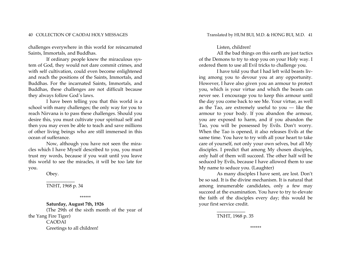challenges everywhere in this world for reincarnated Saints, Immortals, and Buddhas.

If ordinary people knew the miraculous system of God, they would not dare commit crimes, and with self cultivation, could even become enlightened and reach the positions of the Saints, Immortals, and Buddhas. For the incarnated Saints, Immortals, and Buddhas, these challenges are not difficult because they always follow God´s laws.

I have been telling you that this world is a school with many challenges; the only way for you to reach Nirvana is to pass these challenges. Should you desire this, you must cultivate your spiritual self and then you may even be able to teach and save millions of other living beings who are still immersed in this ocean of sufferance.

Now, although you have not seen the miracles which <sup>I</sup> have Myself described to you, you must trust my words, because if you wait until you leave this world to see the miracles, it will be too late for you.

Obey.

TNHT, 1968 p. 34

\*\*\*\*\*\*

**Saturday, August 7th, <sup>1926</sup>** (The 29th of the sixth month of the year of the Yang Fire Tiger) CAODAIGreetings to all children!

## Listen, children!

All the bad things on this earth are just tactics of the Demons to try to stop you on your Holy way. <sup>I</sup> ordered them to use all Evil tricks to challenge you.

I have told you that <sup>I</sup> had left wild beasts living among you to devour you at any opportunity. However, <sup>I</sup> have also given you an armour to protect you, which is your virtue and which the beasts can never see. <sup>I</sup> encourage you to keep this armour until the day you come back to see Me. Your virtue, as well as the Tao, are extremely useful to you — like the armour to your body. If you abandon the armour, you are expose<sup>d</sup> to harm, and if you abandon the Tao, you will be possessed by Evils. Don't worry. When the Tao is opened, it also releases Evils at the same time. You have to try with all your heart to take care of yourself, not only your own selves, but all My disciples. <sup>I</sup> predict that among My chosen disciples, only half of them will succeed. The other half will be seduced by Evils, because <sup>I</sup> have allowed them to use My name to seduce you. (Laughter)

As many disciples <sup>I</sup> have sent, are lost. Don't be so sad. It is the divine mechanism. It is natural that among innumerable candidates, only a few may succeed at the examination. You have to try to elevate the faith of the disciples every day; this would be your first service credit.

TNHT, 1968 p. 35

\*\*\*\*\*\*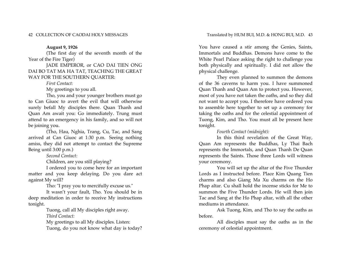## **August 9, 1926**

(The first day of the seventh month of the Year of the Fire Tiger)

# JADE EMPEROR, or CAO DAI TIEN ONG DAI BO TAT MA HA TAT, TEACHING THE GREAT WAY FOR THE SOUTHERN QUARTER:

*First Contact:*

My greetings to you all.

Tho, you and your younger brothers must go to Can Giuoc to avert the evil that will otherwise surely befall My disciples there. Quan Thanh and Quan Am await you: Go immediately. Trung must attend to an emergency in his family, and so will not be joining you.

(Tho, Hau, Nghia, Trang, Cu, Tac, and Sang arrived at Can Giuoc at 1:30 p.m. Seeing nothing amiss, they did not attempt to contact the Supreme Being until 3:00 p.m.)

*Second Contact:*

Children, are you still playing?

I ordered you to come here for an important matter and you keep delaying. Do you dare act against My will?

Tho: "I pray you to mercifully excuse us."

It wasn't your fault, Tho. You should be in deep meditation in order to receive My instructions tonight.

> Tuong, call all My disciples right away. *Third Contact:*

My greetings to all My disciples. Listen: Tuong, do you not know what day is today?

You have caused a stir among the Genies, Saints, Immortals and Buddhas. Demons have come to the White Pearl Palace asking the right to challenge you both physically and spiritually. <sup>I</sup> did not allow the physical challenge.

They even planned to summon the demons of the 36 caverns to harm you. <sup>I</sup> have summoned Quan Thanh and Quan Am to protect you. However, most of you have not taken the oaths, and so they did not want to accep<sup>t</sup> you. <sup>I</sup> therefore have ordered you to assemble here together to set up a ceremony for taking the oaths and for the celestial appointment of Tuong, Kim, and Tho. You must all be presen<sup>t</sup> here tonight.

# *Fourth Contact (midnight):*

In this third revelation of the Great Way, Quan Am represents the Buddhas, Ly Thai Bach represents the Immortals, and Quan Thanh De Quan represents the Saints. Those three Lords will witness your ceremony.

You will set up the altar of the Five Thunder Lords as I instructed before. Place Kim Quang Tien charms and also Giang Ma Xu charms on the Ho Phap altar. Cu shall hold the incense sticks for Me to summon the Five Thunder Lords. He will then join Tac and Sang at the Ho Phap altar, with all the other mediums in attendance.

Ask Tuong, Kim, and Tho to say the oaths as before.

All disciples must say the oaths as in the ceremony of celestial appointment.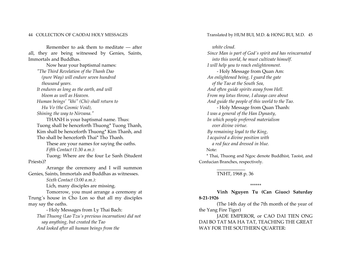Remember to ask them to meditate — after all, they are being witnessed by Genies, Saints, Immortals and Buddhas.

Now hear your baptismal names: *"The Third Revelation of the Thanh Dao (pure Way) will endure seven hundred thousand years. It endures as long as the earth, and will*

*bloom as well as Heaven.*

*Human beings' "khi" (Chi) shall return to Hu Vo (the Cosmic Void),*

*Shining the way to Nirvana."*

THANH is your baptismal name. Thus: Tuong shall be henceforth Thuong\* Tuong Thanh, Kim shall be henceforth Thuong\* Kim Thanh, and Tho shall be henceforth Thai\* Tho Thanh.

These are your names for saying the oaths. *Fifth Contact (1:30 a.m.):*

Tuong: Where are the four Le Sanh (Student Priests)?

Arrange the ceremony and <sup>I</sup> will summon Genies, Saints, Immortals and Buddhas as witnesses.

*Sixth Contact (3:00 a.m.):*

Lich, many disciples are missing.

Tomorrow, you must arrange a ceremony at Trung´s house in Cho Lon so that all my disciples may say the oaths.

- Holy Messages from Ly Thai Bach: *Thai Thuong (Lao Tzu´s previous incarnation) did not say anything, but created the Tao And looked after all human beings from the*

#### OF CAODAI HOLY MESSAGES Translated by HUM BUI, M.D. & HONG BUI, M.D. 45

*white cloud. Since Man is par<sup>t</sup> of God´s spirit and has reincarnated into this world, he must cultivate himself. I will help you to reach enlightenment.* - Holy Message from Quan Am: *An enlightened being, <sup>I</sup> guard the gate of the Tao at the South Sea, And often guide spirits away from Hell. From my lotus throne, <sup>I</sup> always care about And guide the people of this world to the Tao.* - Holy Message from Quan Thanh: *I was a general of the Han Dynasty, In which people preferred materialism over divine virtue. By remaining loyal to the King, I acquired <sup>a</sup> divine position with a red face and dressed in blue.* Note:\* Thai, Thuong and Ngoc denote Buddhist, Taoist, and

TNHT, 1968 p. 36

Confucian Branches, respectively. \_\_\_\_\_\_\_\_\_\_\_\_\_\_\_\_\_\_\_\_

\*\*\*\*\*\*

**Vinh Nguyen Tu (Can Giuoc) Saturday 8-21-1926**

(The 14th day of the 7th month of the year of the Yang Fire Tiger)

JADE EMPEROR, or CAO DAI TIEN ONG DAI BO TAT MA HA TAT, TEACHING THE GREAT WAY FOR THE SOUTHERN QUARTER: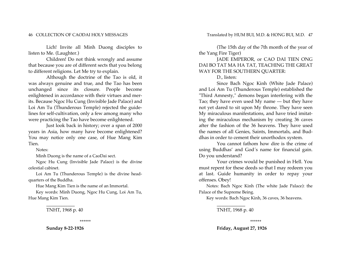Lich! Invite all Minh Duong disciples to listen to Me. (Laughter.)

Children! Do not think wrongly and assume that because you are of different sects that you belong to different religions. Let Me try to explain.

Although the doctrine of the Tao is old, it was always genuine and true, and the Tao has been unchanged since its closure. People become enlightened in accordance with their virtues and merits. Because Ngoc Hu Cung (Invisible Jade Palace) and Loi Am Tu (Thunderous Temple) rejected the guidelines for self-cultivation, only <sup>a</sup> few among many who were practicing the Tao have become enlightened.

Just look back in history; over <sup>a</sup> span of <sup>2000</sup> years in Asia, how many have become enlightened? You may notice only one case, of Hue Mang Kim Tien.

Notes:

Minh Duong is the name of <sup>a</sup> CaoDai sect.

Ngoc Hu Cung (Invisible Jade Palace) is the divine celestial cabinet.

Loi Am Tu (Thunderous Temple) is the divine headquarters of the Buddha.

Hue Mang Kim Tien is the name of an Immortal.

Key words: Minh Duong, Ngoc Hu Cung, Loi Am Tu, Hue Mang Kim Tien.

TNHT, 1968 p. 40

\_\_\_\_\_\_\_\_\_\_\_\_\_\_\_\_\_\_\_\_

\*\*\*\*\*\*

**Sunday 8-22-1926**

(The 15th day of the 7th month of the year of the Yang Fire Tiger)

JADE EMPEROR, or CAO DAI TIEN ONG DAI BO TAT MA HA TAT, TEACHING THE GREAT WAY FOR THE SOUTHERN QUARTER:

D., listen:

Since Bach Ngoc Kinh (White Jade Palace) and Loi Am Tu (Thunderous Temple) established the "Third Amnesty," demons began interfering with the Tao; they have even used My name — but they have not ye<sup>t</sup> dared to sit upon My throne. They have seen My miraculous manifestations, and have tried imitating the miraculous mechanism by creating <sup>36</sup> caves after the fashion of the <sup>36</sup> heavens. They have used the names of all Genies, Saints, Immortals, and Buddhas in order to cement their unorthodox system.

You cannot fathom how dire is the crime of using Buddhas' and God´s name for financial gain. Do you understand?

Your crimes would be punished in Hell. You must repen<sup>t</sup> for these deeds so that <sup>I</sup> may redeem you at last. Guide humanity in order to repay your offenses. Obey!

Notes: Bach Ngoc Kinh (The white Jade Palace): the Palace of the Supreme Being.

Key words: Bach Ngoc Kinh, <sup>36</sup> caves, <sup>36</sup> heavens.

TNHT, 1968 p. 40

\_\_\_\_\_\_\_\_\_\_\_\_\_\_\_\_\_\_\_\_

\*\*\*\*\*\*

# **Friday, August 27, <sup>1926</sup>**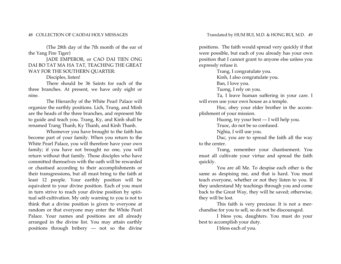(The 28th day of the 7th month of the ear of the Yang Fire Tiger)

# JADE EMPEROR, or CAO DAI TIEN ONG DAI BO TAT MA HA TAT, TEACHING THE GREAT WAY FOR THE SOUTHERN QUARTER:

## Disciples, listen!

There should be 36 Saints for each of the three branches. At present, we have only eight or nine.

The Hierarchy of the White Pearl Palace will organize the earthly positions. Lich, Trung, and Minh are the heads of the three branches, and represen<sup>t</sup> Me to guide and teach you. Trang, Ky, and Kinh shall be renamed Trang Thanh, Ky Thanh, and Kinh Thanh.

Whomever you have brought to the faith has become par<sup>t</sup> of your family. When you return to the White Pearl Palace, you will therefore have your own family; if you have not brought no one, you will return without that family. Those disciples who have committed themselves with the oath will be rewarded or chastised according to their accomplishments or their transgressions, but all must bring to the faith at least 12 people. Your earthly position will be equivalent to your divine position. Each of you must in turn strive to reach your divine position by spiritual self-cultivation. My only warning to you is not to think that a divine position is given to everyone at random or that everyone may enter the White Pearl Palace. Your names and positions are all already arrange<sup>d</sup> in the divine list. You may attain earthly positions through bribery — not so the divine

positions. The faith would sprea<sup>d</sup> very quickly if that were possible, but each of you already has your own position that <sup>I</sup> cannot gran<sup>t</sup> to anyone else unless you expressly refuse it.

Trang, <sup>I</sup> congratulate you.

Kinh, <sup>I</sup> also congratulate you.

Ban, <sup>I</sup> love you.

Tuong, <sup>I</sup> rely on you.

Ta, <sup>I</sup> leave human suffering in your care. <sup>I</sup> will even use your own house as a temple.

Hoc, obey your elder brother in the accomplishment of your mission.

Huong, try your best — <sup>I</sup> will help you.

Truoc, do not be so confused.

Nghia, <sup>I</sup> will use you.

Duc, you are to sprea<sup>d</sup> the faith all the way to the center.

Trang, remember your chastisement. You must all cultivate your virtue and sprea<sup>d</sup> the faith quickly.

You are all Me. To despise each other is the same as despising me, and that is hard. You must teach everyone, whether or not they listen to you. If they understand My teachings through you and come back to the Great Way, they will be saved; otherwise, they will be lost.

This faith is very precious: It is not a merchandise for you to sell, so do not be discouraged.

I bless you, daughters. You must do your best to accomplish your duty.

I bless each of you.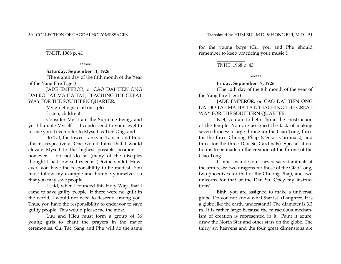TNHT, 1968 p. 41

\*\*\*\*\*\*

**Saturday, September 11, <sup>1926</sup>** (The eighth day of the fifth month of the Year of the Yang Fire Tiger)

JADE EMPEROR, or CAO DAI TIEN ONG DAI BO TAT MA HA TAT, TEACHING THE GREAT WAY FOR THE SOUTHERN QUARTER:

My greetings to all disciples.

Listen, children!

Consider Me: I am the Supreme Being, and ye<sup>t</sup> <sup>I</sup> humble Myself — <sup>I</sup> condescend to your level to rescue you. <sup>I</sup> even refer to Myself as Tien Ong, and

Bo Tat, the lowest ranks in Taoism and Buddhism, respectively. One would think that <sup>I</sup> would elevate Myself to the highest possible position however, <sup>I</sup> do not do so (many of the disciples thought <sup>I</sup> had low self-esteem! (Divine smile). However, you have the responsibility to be modest. You must follow my example and humble yourselves so that you may save people.

I said, when <sup>I</sup> founded this Holy Way, that <sup>I</sup> came to save guilty people. If there were no guilt in the world, <sup>I</sup> would not need to descend among you. Thus, you have the responsibility to endeavor to save guilty people. This would please me the most.

Luu and Hieu must form a group of 36 young girls to chant the prayers in the major ceremonies. Cu, Tac, Sang and Phu will do the same

OF CAODAI HOLY MESSAGES Translated by HUM BUI, M.D. & HONG BUI, M.D. 51

for the young boys (Cu, you and Phu should remember to keep practicing your music!).

TNHT, 1968 p. 43

\_\_\_\_\_\_\_\_\_\_\_\_\_\_\_\_\_\_\_\_

\*\*\*\*\*\*

## **Friday, September 17, <sup>1926</sup>**

(The 12th day of the 8th month of the year of the Yang Fire Tiger)

JADE EMPEROR, or CAO DAI TIEN ONG DAI BO TAT MA HA TAT, TEACHING THE GREAT WAY FOR THE SOUTHERN QUARTER:

Kiet, you are to help Tho in the construction of the temple. You are assigned the task of making seven thrones: a large throne for the Giao Tong, three for the three Chuong Phap (Censor Cardinals), and three for the three Dau Su Cardinals). Special attention is to be made in the creation of the throne of the Giao Tong.

It must include four carved sacred animals at the arm rests: two dragons for those of the Giao Tong, two phoenixes for that of the Chuong Phap, and two unicorns for that of the Dau Su. Obey my instructions!

Binh, you are assigned to make a universal globe. Do you not know what that is? (Laughter) It is a globe like the earth, understand? The diameter is 3.3 m. It is rather large because the miraculous mechanism of creation is represented in it. Paint it azure, draw the North Star and other stars on the globe. The thirty six heavens and the four grea<sup>t</sup> dimensions are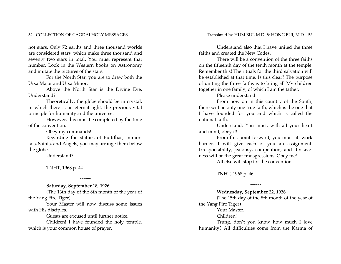not stars. Only <sup>72</sup> earths and three thousand worlds are considered stars, which make three thousand and seventy two stars in total. You must represen<sup>t</sup> that number. Look in the Western books on Astronomy and imitate the pictures of the stars.

For the North Star, you are to draw both the Ursa Major and Ursa Minor.

Above the North Star is the Divine Eye. Understand?

Theoretically, the globe should be in crystal, in which there is an eternal light, the precious vital principle for humanity and the universe.

However, this must be completed by the time of the convention.

Obey my commands!

Regarding the statues of Buddhas, Immortals, Saints, and Angels, you may arrange them below the globe.

Understand?

TNHT, 1968 p. 44

\*\*\*\*\*\*

## **Saturday, September 18, <sup>1926</sup>**

(The 13th day of the 8th month of the year of the Yang Fire Tiger)

Your Master will now discuss some issues with His disciples.

Guests are excused until further notice.

Children! I have founded the holy temple, which is your common house of prayer.

Understand also that I have united the three faiths and created the New Codes.

There will be a convention of the three faiths on the fifteenth day of the tenth month at the temple. Remember this! The rituals for the third salvation will be established at that time. Is this clear? The purpose of uniting the three faiths is to bring all My children together in one family, of which <sup>I</sup> am the father.

Please understand!

From now on in this country of the South, there will be only one true faith, which is the one that I have founded for you and which is called the national faith.

Understand: You must, with all your heart and mind, obey it!

From this point forward, you must all work harder. I will give each of you an assignment. Irresponsibility, jealousy, competition, and divisiveness will be the grea<sup>t</sup> transgressions. Obey me!

All else will stop for the convention.

TNHT, 1968 p. 46

\_\_\_\_\_\_\_\_\_\_\_\_\_\_\_\_\_\_\_\_

\*\*\*\*\*\*

## **Wednesday, September 22, <sup>1926</sup>**

(The 15th day of the 8th month of the year of the Yang Fire Tiger)

Your Master.

Children!

Trung, don't you know how much <sup>I</sup> love humanity? All difficulties come from the Karma of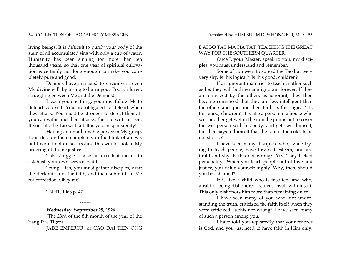living beings. It is difficult to purify your body of the stain of all accumulated sins with only a cup of water. Humanity has been sinning for more than ten thousand years, so that one year of spiritual cultivation is certainly not long enough to make you completely pure and good.

Demons have managed to circumvent even My divine will, by trying to harm you. Poor children, struggling between Me and the Demons!

I teach you one thing: you must follow Me to defend yourself. You are obligated to defend when they attack. You must be stronger to defeat them. If you can withstand their attacks, the Tao will succeed. If you fall, the Tao will fail. It is your responsibility!

Having an unfathomable power in My grasp, I can destroy them completely in the blink of an eye, but I would not do so, because this would violate My ordering of divine justice.

This struggle is also an excellent means to establish your own service credits.

Trung, Lich, you must gather disciples, draft the declaration of the faith, and then submit it to Me for correction. Obey me!

TNHT, 1968 p. 47

\_\_\_\_\_\_\_\_\_\_\_\_\_\_\_\_\_\_\_\_

\*\*\*\*\*\*

**Wednesday, September 29, <sup>1926</sup>** (The 23rd of the 8th month of the year of the Yang Fire Tiger)

JADE EMPEROR, or CAO DAI TIEN ONG

# DAI BO TAT MA HA TAT, TEACHING THE GREAT WAY FOR THE SOUTHERN QUARTER:

Once I, your Master, speak to you, my disciples, you must understand and remember.

Some of you went to sprea<sup>d</sup> the Tao but were very shy. Is this logical? Is this good, children?

If an ignorant man tries to teach another such as he, they will both remain ignorant forever. If they are criticized by the others as ignorant, they then become convinced that they are less intelligent than the others and question their faith. Is this logical? Is this good, children? It is like a person in a house who sees another ge<sup>t</sup> wet in the rain: he jumps out to cover the wet person with his body, and gets wet himself, but then says to himself that the rain is too cold. Is he not stupid?

I have seen many disciples, who, while trying to teach people, have low self esteem, and are timid and shy. Is this not wrong?. Yes. They lacked personality. When you teach people out of love and justice, you value yourself highly. Why, then, should you be ashamed?

It is like a child who is insulted, and who, afraid of being dishonored, returns insult with insult. This only dishonors him more than remaining quiet.

I have seen many of you who, not understanding the truth, criticized the faith itself when they were criticized. Is this not wrong? <sup>I</sup> have seen many of such a person among you.

I have told you repeatedly that your teacher is God, and you just need to have faith in Him only.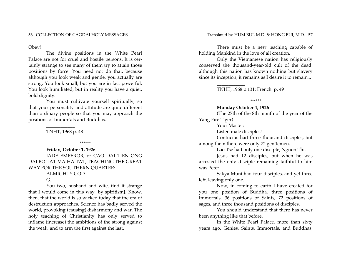Obey!

The divine positions in the White Pearl Palace are not for cruel and hostile persons. It is certainly strange to see many of them try to attain those positions by force. You need not do that, because although you look weak and gentle, you actually are strong. You look small, but you are in fact powerful. You look humiliated, but in reality you have a quiet, bold dignity.

You must cultivate yourself spiritually, so that your personality and attitude are quite different than ordinary people so that you may approach the positions of Immortals and Buddhas.

TNHT, 1968 p. 48

\*\*\*\*\*\*

**Friday, October 1, <sup>1926</sup>** JADE EMPEROR, or CAO DAI TIEN ONG DAI BO TAT MA HA TAT, TEACHING THE GREAT WAY FOR THE SOUTHERN QUARTER:

# ALMIGHTY GOD

G...

You two, husband and wife, find it strange that I would come in this way [by spiritism]. Know, then, that the world is so wicked today that the era of destruction approaches. Science has badly served the world, provoking (causing) disharmony and war. The holy teaching of Christianity has only served to inflame (increase) the ambitions of the strong against the weak, and to arm the first against the last.

There must be a new teaching capable of holding Mankind in the love of all creation.

Only the Vietnamese nation has religiously conserved the thousand-year-old cult of the dead; although this nation has known nothing but slavery since its inception, it remains as <sup>I</sup> desire it to remain...

TNHT, <sup>1968</sup> p.131; French. p. <sup>49</sup>

\*\*\*\*\*\*

### **Monday October 4, <sup>1926</sup>**

(The 27th of the 8th month of the year of the Yang Fire Tiger)

Your Master:

Listen male disciples!

Confucius had three thousand disciples, but among them there were only <sup>72</sup> gentlemen.

Lao Tse had only one disciple, Nguon Thi.

Jesus had <sup>12</sup> disciples, but when he was arrested the only disciple remaining faithful to him was Peter.

Sakya Muni had four disciples, and ye<sup>t</sup> three left, leaving only one.

Now, in coming to earth <sup>I</sup> have created for you one position of Buddha, three positions of Immortals, 36 positions of Saints, <sup>72</sup> positions of sages, and three thousand positions of disciples.

You should understand that there has never been anything like that before.

In the White Pearl Palace, more than sixty years ago, Genies, Saints, Immortals, and Buddhas,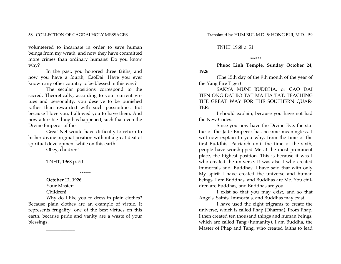volunteered to incarnate in order to save human beings from my wrath; and now they have committed more crimes than ordinary humans! Do you know why?

In the past, you honored three faiths, and now you have a fourth, CaoDai. Have you ever known any other country to be blessed in this way?

The secular positions correspon<sup>d</sup> to the sacred. Theoretically, according to your current virtues and personality, you deserve to be punished rather than rewarded with such possibilities. But because <sup>I</sup> love you, <sup>I</sup> allowed you to have them. And now a terrible thing has happened, such that even the Divine Emperor of the

Great Net would have difficulty to return to hisher divine original position without a grea<sup>t</sup> deal of spiritual development while on this earth.

Obey, children!

TNHT, 1968 p. 50

\*\*\*\*\*\*

#### **October 12, 1926**

Your Master:

Children!

Why do <sup>I</sup> like you to dress in plain clothes? Because plain clothes are an example of virtue. It represents frugality, one of the best virtues on this earth, because pride and vanity are a waste of your blessings.

OF CAODAI HOLY MESSAGES Translated by HUM BUI, M.D. & HONG BUI, M.D. 59

TNHT, 1968 p. 51

\*\*\*\*\*\*

**Phuoc Linh Temple, Sunday October 24, 1926**

(The 15th day of the 9th month of the year of the Yang Fire Tiger)

SAKYA MUNI BUDDHA, or CAO DAI TIEN ONG DAI BO TAT MA HA TAT, TEACHING THE GREAT WAY FOR THE SOUTHERN QUAR-TER:

I should explain, because you have not had the New Codes.

Since you now have the Divine Eye, the statue of the Jade Emperor has become meaningless. <sup>I</sup> will now explain to you why, from the time of the first Buddhist Patriarch until the time of the sixth, people have worshipped Me at the most prominent place, the highest position. This is because it was <sup>I</sup> who created the universe. It was also I who created Immortals and Buddhas: <sup>I</sup> have said that with only My spirit <sup>I</sup> have created the universe and human beings. <sup>I</sup> am Buddhas, and Buddhas are Me. You children are Buddhas, and Buddhas are you.

I exist so that you may exist, and so that Angels, Saints, Immortals, and Buddhas may exist.

I have used the eight trigrams to create the universe, which is called Phap (Dharma). From Phap, I then created ten thousand things and human beings, which are called Tang (humanity). <sup>I</sup> am Buddha, the Master of Phap and Tang, who created faiths to lead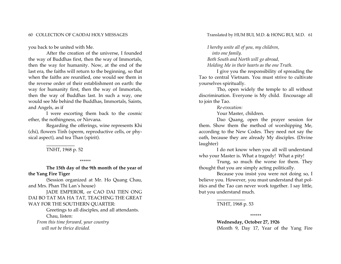you back to be united with Me.

After the creation of the universe, I founded the way of Buddhas first, then the way of Immortals, then the way for humanity. Now, at the end of the last era, the faiths will return to the beginning, so that when the faiths are reunified, one would see them in the reverse order of their establishment on earth: the way for humanity first, then the way of Immortals, then the way of Buddhas last. In such a way, one would see Me behind the Buddhas, Immortals, Saints, and Angels, as if

I were escorting them back to the cosmic ether, the nothingness, or Nirvana.

Regarding the offerings, wine represents Khi (chi), flowers Tinh (sperm, reproductive cells, or physical aspect), and tea Than (spirit).

TNHT, 1968 p. 52

\*\*\*\*\*\*

**The 15th day of the 9th month of the year of the Yang Fire Tiger**

(Session organized at Mr. Ho Quang Chau, and Mrs. Phan Thi Lan´s house)

JADE EMPEROR, or CAO DAI TIEN ONG DAI BO TAT MA HA TAT, TEACHING THE GREAT WAY FOR THE SOUTHERN QUARTER:

Greetings to all disciples, and all attendants. Chau, listen: *From this time forward, your country*

*will not be thrice divided.*

## OF CAODAI HOLY MESSAGES Translated by HUM BUI, M.D. & HONG BUI, M.D. 61

*I hereby unite all of you, my children, into one family. Both South and North will go abroad,*

*Holding Me in their hearts as the one Truth.*

I give you the responsibility of spreading the Tao to central Vietnam. You must strive to cultivate yourselves spiritually.

Tho, open widely the temple to all without discrimination. Everyone is My child. Encourage all to join the Tao.

*Re-evocation:*

Your Master, children.

Dao Quang, open the prayer session for them. Show them the method of worshipping Me, according to the New Codes. They need not say the oath, because they are already My disciples. (Divine laughter)

I do not know when you all will understand who your Master is. What a tragedy! What a pity!

Trung, so much the worse for them. They thought that you are simply acting politically.

Because you insist you were not doing so, <sup>I</sup> believe you. However, you must understand that politics and the Tao can never work together. <sup>I</sup> say little, but you understand much.

TNHT, 1968 p. 53

\*\*\*\*\*\*

**Wednesday, October 27, <sup>1926</sup>** (Month 9, Day 17, Year of the Yang Fire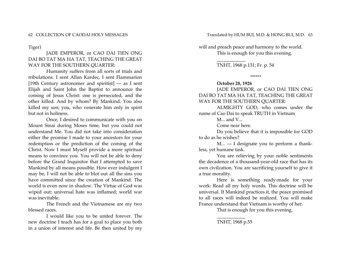Tiger)

# JADE EMPEROR, or CAO DAI TIEN ONG DAI BO TAT MA HA TAT, TEACHING THE GREAT WAY FOR THE SOUTHERN QUARTER:

Humanity suffers from all sorts of trials and tribulations. I sent Allan Kardec, I sent Flammarion [19th Century astronomer and spiritist] — as I sent Elijah and Saint John the Baptist to announce the coming of Jesus Christ: one is persecuted, and the other killed. And by whom? By Mankind. You also killed my son; you, who venerate him only in spirit but not in holiness.

Once, <sup>I</sup> desired to communicate with you on Mount Sinai during Moses time, but you could not understand Me. You did not take into consideration either the promise <sup>I</sup> made to your ancestors for your redemption or the prediction of the coming of the Christ. Now <sup>I</sup> must Myself provide a more spiritual means to convince you. You will not be able to deny before the Grand Inquisitor that <sup>I</sup> attempted to save Mankind by all means possible. How ever indulgent <sup>I</sup> may be, <sup>I</sup> will not be able to blot out all the sins you have committed since the creation of Mankind. The world is even now in shadow. The Virtue of God was wiped out; universal hate was inflamed; world war was inevitable.

The French and the Vietnamese are my two blessed races.

I would like you to be united forever. The new doctrine I teach has for a goa<sup>l</sup> to place you both in a union of interest and life. Be then united by my

OF CAODAI HOLY MESSAGES Translated by HUM BUI, M.D. & HONG BUI, M.D. 63

will and preach peace and harmony to the world. This is enough for you this evening.

TNHT, 1968 p.131; Fr. p. 54

\*\*\*\*\*\*

#### **October 28, 1926**

\_\_\_\_\_\_\_\_\_\_\_\_\_\_\_\_\_\_\_\_

JADE EMPEROR, or CAO DAI TIEN ONG DAI BO TAT MA HA TAT, TEACHING THE GREAT WAY FOR THE SOUTHERN QUARTER:

ALMIGHTY GOD, who comes under the name of Cao Dai to speak TRUTH in Vietnam

M... and V...

Come near here.

Do you believe that it is impossible for GOD to do as he wishes?

M... — <sup>I</sup> designate you to perform a thankless, ye<sup>t</sup> humane task.

You are relieving by your noble sentiments the decadence of a thousand-year-old race that has its own civilzation. You are sacrificing yourself to give it a true morality.

Here is something ready-made for your work: Read all my holy words. This doctrine will be universal. If Mankind practices it, the peace promised to all races will indeed be realized. You will make France understand that Vietnam is worthy of her.

That is enough for you this evening.

TNHT, 1968 p.55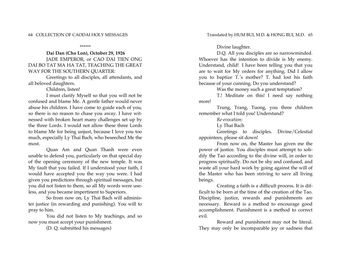\*\*\*\*\*\*

## **Dai Dan (Cho Lon), October 29, 1926**

# JADE EMPEROR, or CAO DAI TIEN ONG DAI BO TAT MA HA TAT, TEACHING THE GREAT WAY FOR THE SOUTHERN QUARTER:

Greetings to all disciples, all attendants, and all beloved daughters.

Children, listen!

I must clarify Myself so that you will not be confused and blame Me. A gentle father would never abuse his children. I have come to guide each of you, so there is no reason to chase you away. <sup>I</sup> have witnessed with broken heart many challenges set up by the three Lords. I would not allow these three Lords to blame Me for being unjust, because <sup>I</sup> love you too much, especially Ly Thai Bach, who beseeched Me the most.

Quan Am and Quan Thanh were even unable to defend you, particularly on that special day of the opening ceremony of the new temple. It was My fault that you failed. If <sup>I</sup> understood your faith, <sup>I</sup> would have accepted you the way you were. <sup>I</sup> had given you predictions through spiritual messages, but you did not listen to them, so all My words were useless, and you became impertinent to Superiors.

So from now on, Ly Thai Bach will administer justice (in rewarding and punishing). You will to pray to him.

You did not listen to My teachings, and so now you must accep<sup>t</sup> your punishment.

(D. Q. submitted his messages)

Divine laughter.

D.Q. All you disciples are so narrowminded. Whoever has the intention to divide is My enemy. Understand, child! <sup>I</sup> have been telling you that you are to wait for My orders for anything. Did <sup>I</sup> allow you to baptize T.´s mother? T. had lost his faith because of your cunning. Do you understand?

Was the money such a grea<sup>t</sup> temptation?

T.! Meditate on this! I need say nothing more!

Trung, Trang, Tuong, you three children remember what I told you! Understand?

*Re-evocation:*

Ly Thai Bach

Greetings to disciples. Divine/Celestial appointees, please sit down!

From now on, the Master has given me the power of justice. You disciples must attempt to solidify the Tao according to the divine will, in order to progress spiritually. Do not be shy and confused, and waste all your hard work by going against the will of the Master who has been striving to save all living beings.

Creating a faith is a difficult process. It is difficult to be born at the time of the creation of the Tao. Discipline, justice, rewards and punishments are necessary. Reward is a method to encourage good accomplishment. Punishment is a method to correct evil.

Reward and punishment may not be literal. They may only be incomparable joy or sadness that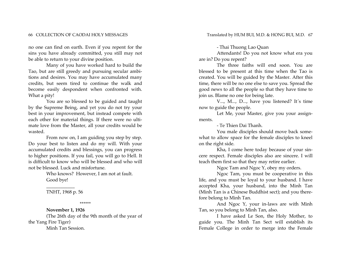no one can find on earth. Even if you repen<sup>t</sup> for the sins you have already committed, you still may not be able to return to your divine position.

Many of you have worked hard to build the Tao, but are still greedy and pursuing secular ambitions and desires. You may have accumulated many credits, but seem tired to continue the walk and become easily despondent when confronted with. What a pity!

You are so blessed to be guided and taught by the Supreme Being, and ye<sup>t</sup> you do not try your best in your improvement, but instead compete with each other for material things. If there were no ultimate love from the Master, all your credits would be wasted.

From now on, <sup>I</sup> am guiding you step by step. Do your best to listen and do my will. With your accumulated credits and blessings, you can progress to higher positions. If you fail, you will go to Hell. It is difficult to know who will be blessed and who will not be blessed. Luck and misfortune.

> Who knows? However, I am not at fault. Good bye!

TNHT, 1968 p. 56

\_\_\_\_\_\_\_\_\_\_\_\_\_\_\_\_\_\_\_\_

\*\*\*\*\*\*

## **November 1, 1926** (The 26th day of the 9th month of the year of

the Yang Fire Tiger) Minh Tan Session.

OF CAODAI HOLY MESSAGES Translated by HUM BUI, M.D. & HONG BUI, M.D. 67

- Thai Thuong Lao Quan

Attendants! Do you not know what era you are in? Do you repent?

The three faiths will end soon. You are blessed to be presen<sup>t</sup> at this time when the Tao is created. You will be guided by the Master. After this time, there will be no one else to save you. Spread the goo<sup>d</sup> news to all the people so that they have time to join us. Blame no one for being late.

V..., M..., D..., have you listened? It´s time now to guide the people.

Let Me, your Master, give you your assignments.

- Te Thien Dai Thanh.

You male disciples should move back somewhat to allow space for the female disciples to kneel on the right side.

Kha, <sup>I</sup> come here today because of your sincere respect. Female disciples also are sincere. <sup>I</sup> will teach them first so that they may retire earlier.

Ngoc Tam and Ngoc Y, obey my orders.

Ngoc Tam, you must be cooperative in this life, and you must be loyal to your husband. <sup>I</sup> have accepted Kha, your husband, into the Minh Tan (Minh Tan is a Chinese Buddhist sect); and you therefore belong to Minh Tan.

And Ngoc Y, your in-laws are with Minh Tan, so you belong to Minh Tan, also.

I have asked Le Son, the Holy Mother, to guide you. The Minh Tan Sect will establish its Female College in order to merge into the Female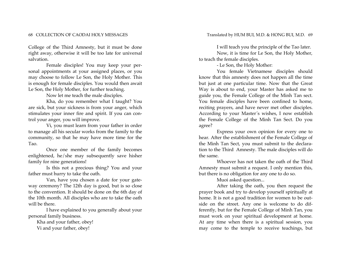College of the Third Amnesty, but it must be done right away, otherwise it will be too late for universal salvation.

Female disciples! You may keep your personal appointments at your assigned places, or you may choose to follow Le Son, the Holy Mother. This is enough for female disciples. You would then await Le Son, the Holy Mother, for further teaching.

Now let me teach the male disciples.

Kha, do you remember what <sup>I</sup> taught? You are sick, but your sickness is from your anger, which stimulates your inner fire and spirit. If you can control your anger, you will improve.

Vi, you must learn from your father in order to manage all his secular works from the family to the community, so that he may have more time for the Tao.

Once one member of the family becomes enlightened, he/she may subsequently save hisher family for nine generations!

Is this not a precious thing? You and your father must hurry to take the oath.

Van, have you chosen a date for your gateway ceremony? The 12th day is good, but is so close to the convention. It should be done on the 6th day of the 10th month. All disciples who are to take the oath will be there.

I have explained to you generally about your personal family business.

Kha and your father, obey! Vi and your father, obey!

I will teach you the principle of the Tao later.

Now, it is time for Le Son, the Holy Mother, to teach the female disciples.

- Le Son, the Holy Mother:

You female Vietnamese disciples should know that this amnesty does not happen all the time but just at one particular time. Now that the Great Way is about to end, your Master has asked me to guide you, the Female College of the Minh Tan sect. You female disciples have been confined to home, reciting prayers, and have never met other disciples. According to your Master´s wishes, <sup>I</sup> now establish the Female College of the Minh Tan Sect. Do you agree?

Express your own opinion for every one to hear. After the establishment of the Female College of the Minh Tan Sect, you must submit to the declaration to the Third Amnesty. The male disciples will do the same.

Whoever has not taken the oath of the ThirdAmnesty must submit a request. <sup>I</sup> only mention this, but there is no obligation for any one to do so.

Muoi asked question...

After taking the oath, you then reques<sup>t</sup> the prayer book and try to develop yourself spiritually at home. It is not a good tradition for women to be outside on the street. Any one is welcome to do differently, but for the Female College of Minh Tan, you must work on your spiritual development at home. At any time when there is a spiritual session, you may come to the temple to receive teachings, but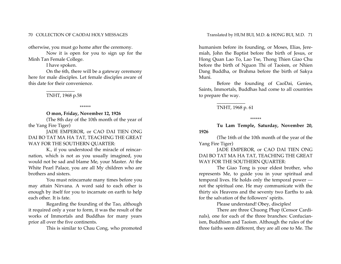otherwise, you must go home after the ceremony.

Now it is open for you to sign up for the Minh Tan Female College.

I have spoken.

On the 6th, there will be a gateway ceremony here for male disciples. Let female disciples aware of this date for their convenience.

TNHT, 1968 p.58

\*\*\*\*\*\*

## **O mon, Friday, November 12, <sup>1926</sup>**

(The 8th day of the 10th month of the year of the Yang Fire Tiger)

JADE EMPEROR, or CAO DAI TIEN ONG DAI BO TAT MA HA TAT, TEACHING THE GREAT WAY FOR THE SOUTHERN QUARTER:

K., if you understood the miracle of reincarnation, which is not as you usually imagined, you would not be sad and blame Me, your Master. At the White Pearl Palace, you are all My children who are brothers and sisters.

You must reincarnate many times before you may attain Nirvana. A word said to each other is enough by itself for you to incarnate on earth to help each other. It is fate.

Regarding the founding of the Tao, although it required only a year to form, it was the result of the works of Immortals and Buddhas for many years prior all over the five continents.

This is similar to Chau Cong, who promoted

OF CAODAI HOLY MESSAGES Translated by HUM BUI, M.D. & HONG BUI, M.D. 71

humanism before its founding, or Moses, Elias, Jeremiah, John the Baptist before the birth of Jesus, or Hong Quan Lao To, Lao Tse, Thong Thien Giao Chu before the birth of Nguon Thi of Taoism, or Nhien Dang Buddha, or Brahma before the birth of Sakya Muni.

Before the founding of CaoDai, Genies, Saints, Immortals, Buddhas had come to all countries to prepare the way.

# TNHT, 1968 p. 61

**1926**

\*\*\*\*\*\*

**Tu Lam Temple, Saturday, November 20,**

(The 16th of the 10th month of the year of the Yang Fire Tiger)

JADE EMPEROR, or CAO DAI TIEN ONG DAI BO TAT MA HA TAT, TEACHING THE GREAT WAY FOR THE SOUTHERN QUARTER:

The Giao Tong is your eldest brother, who represents Me, to guide you in your spiritual and tempora<sup>l</sup> lives. He holds only the tempora<sup>l</sup> power not the spiritual one. He may communicate with the thirty six Heavens and the seventy two Earths to ask for the salvation of the followers' spirits.

Please understand! Obey, disciples!

There are three Chuong Phap (Censor Cardinals), one for each of the three branches: Confucianism, Buddhism and Taoism. Although the rules of the three faiths seem different, they are all one to Me. The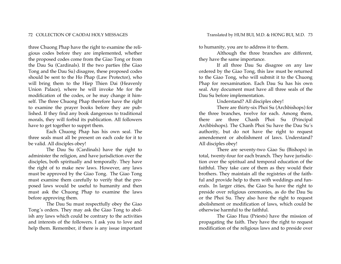three Chuong Phap have the right to examine the religious codes before they are implemented, whether the propose<sup>d</sup> codes come from the Giao Tong or from the Dau Su (Cardinals). If the two parties (the Giao Tong and the Dau Su) disagree, these propose<sup>d</sup> codes should be sent to the Ho Phap (Law Protector), who will bring them to the Hiep Thien Dai (Heavenly Union Palace), where he will invoke Me for the modification of the codes, or he may change it himself. The three Chuong Phap therefore have the right to examine the prayer books before they are published. If they find any book dangerous to traditional morals, they will forbid its publication. All followers have to ge<sup>t</sup> together to suppr<sup>t</sup> them.

Each Chuong Phap has his own seal. The three seals must all be presen<sup>t</sup> on each code for it to be valid. All disciples obey!

The Dau Su (Cardinals) have the right to administer the religion, and have jurisdiction over the disciples, both spiritually and temporally. They have the right of to make new laws. However, any laws must be approve<sup>d</sup> by the Giao Tong. The Giao Tong must examine them carefully to verify that the propose<sup>d</sup> laws would be useful to humanity and then must ask the Chuong Phap to examine the laws before approving them.

The Dau Su must respectfully obey the Giao Tong´s orders. They may ask the Giao Tong to abolish any laws which could be contrary to the activities and interests of the followers. <sup>I</sup> ask you to love and help them. Remember, if there is any issue important to humanity, you are to address it to them.

Although the three branches are different, they have the same importance.

If all three Dau Su disagree on any law ordered by the Giao Tong, this law must be returned to the Giao Tong, who will submit it to the Chuong Phap for reexamination. Each Dau Su has his own seal. Any document must have all three seals of the Dau Su before implementation.

Understand? All disciples obey!

There are thirty-six Phoi Su (Archbishops) for the three branches, twelve for each. Among them, there are three Chanh Phoi Su (Principal Archbishops). The Chanh Phoi Su have the Dau Su´s authority, but do not have the right to reques<sup>t</sup> amendement or abolishment of laws. Understand?All disciples obey!

There are seventy-two Giao Su (Bishops) in total, twenty-four for each branch. They have jurisdiction over the spiritual and tempora<sup>l</sup> education of the faithful. They take care of them as they would their brothers. They maintain all the registries of the faithful and provide help to them with weddings and funerals. In larger cities, the Giao Su have the right to preside over religious ceremonies, as do the Dau Su or the Phoi Su. They also have the right to reques<sup>t</sup> abolishment or modification of laws, which could be otherwise harmful to the faithful.

The Giao Huu (Priests) have the mission of propagating the faith. They have the right to reques<sup>t</sup> modification of the religious laws and to preside over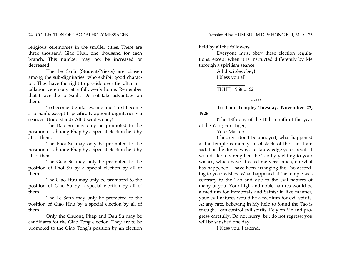religious ceremonies in the smaller cities. There are three thousand Giao Huu, one thousand for each branch. This number may not be increased or decreased.

The Le Sanh (Student-Priests) are chosen among the sub-dignitaries, who exhibit goo<sup>d</sup> character. They have the right to preside over the altar installation ceremony at a follower´s home. Remember that I love the Le Sanh. Do not take advantage on them.

To become dignitaries, one must first become a Le Sanh, excep<sup>t</sup> <sup>I</sup> specifically appoint dignitaries via seances. Understand? All disciples obey!

The Dau Su may only be promoted to the position of Chuong Phap by a special election held by all of them.

The Phoi Su may only be promoted to the position of Chuong Phap by a special election held by all of them.

The Giao Su may only be promoted to the position of Phoi Su by a special election by all of them.

The Giao Huu may only be promoted to the position of Giao Su by a special election by all of them.

The Le Sanh may only be promoted to the position of Giao Huu by a special election by all of them.

Only the Chuong Phap and Dau Su may be candidates for the Giao Tong election. They are to be promoted to the Giao Tong´s position by an election held by all the followers.

Everyone must obey these election regulations, excep<sup>t</sup> when it is instructed differently by Me through a spiritism seance.

> All disciples obey! I bless you all.

TNHT, 1968 p. 62

\*\*\*\*\*\*

**Tu Lam Temple, Tuesday, November 23,**

(The 18th day of the 10th month of the year of the Yang Fire Tiger)

Your Master:

**1926**

Children, don't be annoyed; what happened at the temple is merely an obstacle of the Tao. <sup>I</sup> am sad. It is the divine way. <sup>I</sup> acknowledge your credits. <sup>I</sup> would like to strengthen the Tao by <sup>y</sup>ielding to your wishes, which have affected me very much, on what has happened. <sup>I</sup> have been arranging the Tao according to your wishes. What happened at the temple was contrary to the Tao and due to the evil natures of many of you. Your high and noble natures would be a medium for Immortals and Saints; in like manner, your evil natures would be a medium for evil spirits. At any rate, believing in My help to found the Tao is enough. <sup>I</sup> can control evil spirits. Rely on Me and progress carefully. Do not hurry; but do not regress; you will be satisfied one day.

I bless you. <sup>I</sup> ascend.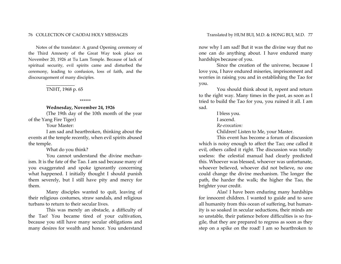Notes of the translator: A grand Opening ceremony of the Third Amnesty of the Great Way took place on November 20, 1926 at Tu Lam Temple. Because of lack of spiritual security, evil spirits came and disturbed the ceremony, leading to confusion, loss of faith, and the discouragement of many disciples.

TNHT, 1968 p. 65

\*\*\*\*\*\*

## **Wednesday, November 24, <sup>1926</sup>**

(The 19th day of the 10th month of the year of the Yang Fire Tiger)

Your Master:

I am sad and heartbroken, thinking about the events at the temple recently, when evil spirits abused the temple.

What do you think?

You cannot understand the divine mechanism. It is the fate of the Tao. I am sad because many of you exaggerated and spoke ignorantly concerning what happened. <sup>I</sup> initially thought <sup>I</sup> should punish them severely, but <sup>I</sup> still have pity and mercy for them.

Many disciples wanted to quit, leaving of their religious costumes, straw sandals, and religious turbans to return to their secular lives.

This was merely an obstacle, a difficulty of the Tao! You became tired of your cultivation, because you still have many secular obligations and many desires for wealth and honor. You understand

now why <sup>I</sup> am sad! But it was the divine way that no one can do anything about. <sup>I</sup> have endured many hardships because of you.

Since the creation of the universe, because I love you, <sup>I</sup> have endured miseries, imprisonment and worries in raising you and in establishing the Tao for you.

You should think about it, repen<sup>t</sup> and return to the right way. Many times in the past, as soon as <sup>I</sup> tried to build the Tao for you, you ruined it all. <sup>I</sup> am sad.

I bless you.

I ascend.

*Re-evocation:*

Children! Listen to Me, your Master.

This event has become a forum of discussion which is noisy enough to affect the Tao; one called it evil, others called it right. The discussion was totally useless: the celestial manual had clearly predicted this. Whoever was blessed, whoever was unfortunate, whoever believed, whoever did not believe, no one could change the divine mechanism. The longer the path, the harder the walk; the higher the Tao, the brighter your credit.

Alas! I have been enduring many hardships for innocent children. I wanted to guide and to save all humanity from this ocean of suffering, but humanity is so soaked in secular seductions, their minds are so unstable, their patience before difficulties is so fragile, that they are prepare<sup>d</sup> to regress as soon as they step on a spike on the road! <sup>I</sup> am so heartbroken to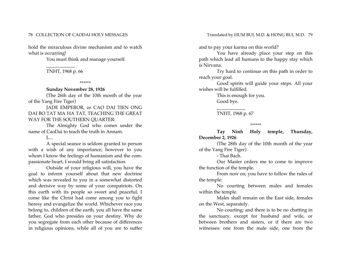hold the miraculous divine mechanism and to watch what is occurring!

You must think and manage yourself.

TNHT, 1968 p. 66

\*\*\*\*\*\*

## **Sunday November 28, <sup>1926</sup>**

(The 26th day of the 10th month of the year of the Yang Fire Tiger)

JADE EMPEROR, or CAO DAI TIEN ONG DAI BO TAT MA HA TAT, TEACHING THE GREAT WAY FOR THE SOUTHERN QUARTER:

The Almighty God who comes under the name of CaoDai to teach the truth in Annam.

L...

A special seance is seldom granted to person with a wish of any importance; however to you whom <sup>I</sup> know the feelings of humanism and the compassionate heart, <sup>I</sup> would bring all satisfaction.

Outside of your religious will, you have the goa<sup>l</sup> to inform yourself about that new doctrine which was revealed to you in a somewhat distorted and derisive way by some of your compatriots. On this earth with its people so sweet and peaceful, <sup>I</sup> come like the Christ had come among you to fight heresy and evangelize the world. Whichever race you belong to, children of the earth, you all have the same father, God who presides on your destiny. Why do you segregate from each other because of differences in religious opinions, while all of you are to suffer

OF CAODAI HOLY MESSAGES Translated by HUM BUI, M.D. & HONG BUI, M.D. 79

and to pay your karma on this world?

You have already place your step on this path which lead all humans to the happy stay which is Nirvana.

Try hard to continue on this path in order to reach your goal.

Good spirits will guide your steps. All your wishes will be fulfilled.

> This is enough for you. Good bye.

# TNHT, 1968 p. 67

\*\*\*\*\*\*

**Tay Ninh Holy temple, Thursday, December 2, 1926**

(The 28th day of the 10th month of the year of the Yang Fire Tiger)

- Thai Bach.

Our Master orders me to come to improve the function of the temple.

From now on, you have to follow the rules of the temple:

No courting between males and females within the temple.

Males shall remain on the East side, females on the West, separately.

No courting; and there is to be no chatting in the sanctuary, excep<sup>t</sup> for husband and wife, or between brothers and sisters, or if there are two witnesses: one from the male side, one from the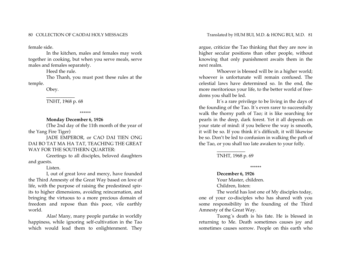female side.

In the kitchen, males and females may work together in cooking, but when you serve meals, serve males and females separately.

Heed the rule.

Tho Thanh, you must pos<sup>t</sup> these rules at the temple.

Obey.

TNHT, 1968 p. 68

\_\_\_\_\_\_\_\_\_\_\_\_\_\_\_\_\_\_\_\_

\*\*\*\*\*\*

**Monday December 6, <sup>1926</sup>**

(The 2nd day of the 11th month of the year of the Yang Fire Tiger)

JADE EMPEROR, or CAO DAI TIEN ONG DAI BO TAT MA HA TAT, TEACHING THE GREAT WAY FOR THE SOUTHERN QUARTER:

Greetings to all disciples, beloved daughters and guests.

## Listen.

I, out of grea<sup>t</sup> love and mercy, have founded the Third Amnesty of the Great Way based on love of life, with the purpose of raising the predestined spirits to higher dimensions, avoiding reincarnation, and bringing the virtuous to a more precious domain of freedom and repose than this poor, vile earthly world.

Alas! Many, many people partake in worldly happiness, while ignoring self-cultivation in the Tao which would lead them to enlightenment. They

argue, criticize the Tao thinking that they are now in higher secular positions than other people, without knowing that only punishment awaits them in the next realm.

Whoever is blessed will be in a higher world; whoever is unfortunate will remain confused. The celestial laws have determined so. In the end, the more meritorious your life, to the better world of freedoms you shall be led.

It´s a rare privilege to be living in the days of the founding of the Tao. It´s even rarer to successfully walk the thorny path of Tao; it is like searching for pearls in the deep, dark forest. Yet it all depends on your state of mind: if you believe the way is smooth, it will be so. If you think it´s difficult, it will likewise be so. Don't be led to confusion in walking the path of the Tao, or you shall too late awaken to your folly.

TNHT, 1968 p. 69

\_\_\_\_\_\_\_\_\_\_\_\_\_\_\_\_\_\_\_\_

\*\*\*\*\*\*

### **December 6, 1926**

Your Master, children. Children, listen:

The world has lost one of My disciples today, one of your co-disciples who has shared with you some responsibility in the founding of the Third Amnesty of the Great Way.

Tuong´s death is his fate. He is blessed in returning to Me. Death sometimes causes joy and sometimes causes sorrow. People on this earth who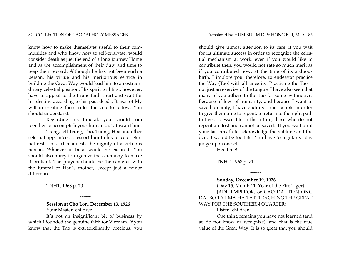know how to make themselves useful to their communities and who know how to self-cultivate, would consider death as just the end of a long journey Home and as the accomplishment of their duty and time to reap their reward. Although he has not been such a person, his virtue and his meritorious service in building the Great Way would lead him to an extraordinary celestial position. His spirit will first, however, have to appea<sup>l</sup> to the triune-faith court and wait for his destiny according to his pas<sup>t</sup> deeds. It was of My will in creating these rules for you to follow. You should understand.

Regarding his funeral, you should join together to accomplish your human duty toward him.

Trang, tell Trung, Tho, Tuong, Hoa and other celestial appointees to escort him to his place of eternal rest. This act manifests the dignity of a virtuous person. Whoever is busy would be excused. You should also hurry to organize the ceremony to make it brilliant. The prayers should be the same as with the funeral of Hau´s mother, excep<sup>t</sup> just a minor difference.

# TNHT, 1968 p. 70

#### \*\*\*\*\*\*

**Session at Cho Lon, December 13, 1926** Your Master, children.

It´s not an insignificant bit of business by which I founded the genuine faith for Vietnam. If you know that the Tao is extraordinarily precious, you

should give utmost attention to its care; if you wait for its ultimate success in order to recognize the celestial mechanism at work, even if you would like to contribute then, you would not rate so much merit as if you contributed now, at the time of its arduous birth. I implore you, therefore, to endeavor practice the Way (Tao) with all sincerity. Practicing the Tao is not just an exercise of the tongue. <sup>I</sup> have also seen that many of you adhere to the Tao for some evil motive. Because of love of humanity, and because <sup>I</sup> want to save humanity, <sup>I</sup> have endured cruel people in order to give them time to repent, to return to the right path to live a blessed life in the future; those who do not repen<sup>t</sup> are lost and cannot be saved. If you wait until your last breath to acknowledge the sublime and the evil, it would be too late. You have to regularly play judge upon oneself.

Heed me!

# TNHT, 1968 p. 71

# \*\*\*\*\*\*

**Sunday, December 19, <sup>1926</sup>**

(Day 15, Month 11, Year of the Fire Tiger) JADE EMPEROR, or CAO DAI TIEN ONG DAI BO TAT MA HA TAT, TEACHING THE GREAT WAY FOR THE SOUTHERN QUARTER:

#### Listen, children:

One thing remains you have not learned (and so do not know or recognize), and that is the true value of the Great Way. It is so grea<sup>t</sup> that you should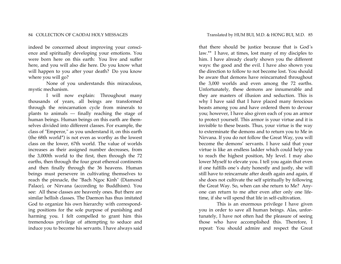indeed be concerned about improving your conscience and spiritually developing your emotions. You were born here on this earth: You live and suffer here, and you will also die here. Do you know what will happen to you after your death? Do you know where you will go?

None of you understands this miraculous, mystic mechanism.

I will now explain: Throughout many thousands of years, all beings are transformed through the reincarnation cycle from minerals to plants to animals — finally reaching the stage of human beings. Human beings on this earth are themselves divided into different classes. For example, the class of "Emperor," as you understand it, on this earth (the 68th world\*) is not even as worthy as the lowest class on the lower, 67th world. The value of worlds increases as their assigned number decreases, from the 3,000th world to the first, then through the <sup>72</sup> earths, then through the four grea<sup>t</sup> ethereal continents and then finally through the <sup>36</sup> heavens. Human beings must persevere in cultivating themselves to reach the pinnacle, the "Bach Ngoc Kinh" (Diamond Palace), or Nirvana (according to Buddhism). You see: All these classes are heavenly ones. But there are similar hellish classes. The Daemon has thus imitatedGod to organize his own hierarchy with corresponding positions for the sole purpose of punishing and harming you. <sup>I</sup> felt compelled to gran<sup>t</sup> him this tremendous privilege of attempting to seduce and induce you to become his servants. <sup>I</sup> have always said

that there should be justice because that is God´s law.\*\* <sup>I</sup> have, at times, lost many of my disciples to him. I have already clearly shown you the different ways: the goo<sup>d</sup> and the evil. <sup>I</sup> have also shown you the direction to follow to not become lost. You should be aware that demons have reincarnated throughout the 3,000 worlds and even among the <sup>72</sup> earths. Unfortunately, these demons are innumerable and they are masters of illusion and seduction. This is why <sup>I</sup> have said that <sup>I</sup> have placed many ferocious beasts among you and have ordered them to devour you; however, <sup>I</sup> have also given each of you an armor to protect yourself. This armor is your virtue and it is invisible to these beasts. Thus, your virtue is the way to exterminate the demons and to return you to Me in Nirvana. If you do not follow the Great Way, you will become the demons' servants. I have said that your virtue is like an endless ladder which could help you to reach the highest position, My level. <sup>I</sup> may also lower Myself to elevate you. <sup>I</sup> tell you again that even if one fulfills one´s duty honestly and justly, she will still have to reincarnate after death again and again, if she does not cultivate the self spiritually by following the Great Way. So, when can she return to Me? Anyone can return to me after even after only one lifetime, if she will spen<sup>d</sup> that life in self-cultivation.

This is an enormous privilege <sup>I</sup> have given you in order to save all human beings. Alas, unfortunately, <sup>I</sup> have not often had the pleasure of seeing those who have accomplished this. Therefore, <sup>I</sup> repeat: You should admire and respec<sup>t</sup> the Great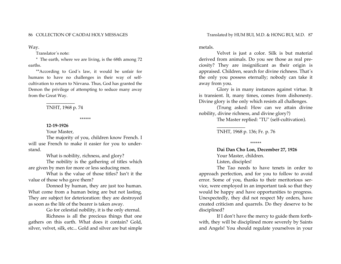Way.

Translator´s note:

\* The earth, where we are living, is the 68th among <sup>72</sup> earths.

\*\*According to God´s law, it would be unfair for humans to have no challenges in their way of selfcultivation to return to Nirvana. Thus, God has granted the Demon the privilege of attempting to seduce many away from the Great Way.

TNHT, 1968 p. 74

\*\*\*\*\*\*

## **12-19-1926**

Your Master,

The majority of you, children know French. <sup>I</sup> will use French to make it easier for you to understand.

What is nobility, richness, and glory?

The nobility is the gathering of titles which are given by men for more or less seducing men.

What is the value of those titles? Isn't it the value of those who gave them?

Donned by human, they are just too human. What come from a human being are but not lasting. They are subject for deterioration: they are destroyed as soon as the life of the bearer is taken away.

Go for celestial nobility, it is the only eternal.

Richness is all the precious things that one gathers on this earth. What does it contain? Gold, silver, velvet, silk, etc... Gold and silver are but simple metals.

Velvet is just a color. Silk is but material derived from animals. Do you see those as real preciosity? They are insignificant as their origin is appraised. Children, search for divine richness. That´s the only you possess eternally; nobody can take it away from you.

Glory is in many instances against virtue. It is transient. It, many times, comes from dishonesty. Divine glory is the only which resists all challenges.

(Trung asked: How can we attain divine nobility, divine richness, and divine glory?)

The Master replied: "TU" (self-cultivation).

TNHT, 1968 p. 136; Fr. p. 76

\*\*\*\*\*\*

**Dai Dan Cho Lon, December 27, 1926** Your Master, children. Listen, disciples!

The Tao needs to have tenets in order to approach perfection, and for you to follow to avoid error. Some of you, thanks to their meritorious service, were employed in an important task so that they would be happy and have opportunities to progress. Unexpectedly, they did not respec<sup>t</sup> My orders, have created criticism and quarrels. Do they deserve to be disciplined?

If I don't have the mercy to guide them forthwith, they will be disciplined more severely by Saints and Angels! You should regulate yourselves in your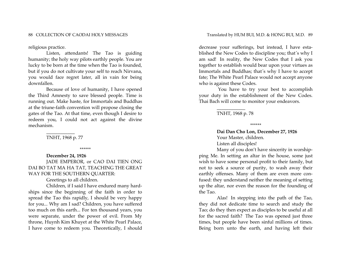religious practice.

Listen, attendants! The Tao is guiding humanity; the holy way pilots earthly people. You are lucky to be born at the time when the Tao is founded, but if you do not cultivate your self to reach Nirvana, you would face regre<sup>t</sup> later, all in vain for being downfallen.

Because of love of humanity, <sup>I</sup> have opene<sup>d</sup> the Third Amnesty to save blessed people. Time is running out. Make haste, for Immortals and Buddhas at the triune-faith convention will propose closing the gates of the Tao. At that time, even though <sup>I</sup> desire to redeem you, <sup>I</sup> could not act against the divine mechanism.

TNHT, 1968 p. 77

\_\_\_\_\_\_\_\_\_\_\_\_\_\_\_\_\_\_\_\_

\*\*\*\*\*\*

#### **December 24, 1926**

JADE EMPEROR, or CAO DAI TIEN ONG DAI BO TAT MA HA TAT, TEACHING THE GREAT WAY FOR THE SOUTHERN QUARTER:

Greetings to all children.

Children, if <sup>I</sup> said <sup>I</sup> have endured many hardships since the beginning of the faith in order to sprea<sup>d</sup> the Tao this rapidly, <sup>I</sup> should be very happy for you... Why am <sup>I</sup> sad? Children, you have suffered too much on this earth... For ten thousand years, you were separate, under the power of evil. From My throne, Huynh Kim Khuyet at the White Pearl Palace, I have come to redeem you. Theoretically, <sup>I</sup> should

decrease your sufferings, but instead, <sup>I</sup> have established the New Codes to discipline you; that´s why <sup>I</sup> am sad! In reality, the New Codes that <sup>I</sup> ask you together to establish would bear upon your virtues as Immortals and Buddhas; that´s why <sup>I</sup> have to accep<sup>t</sup> fate; The White Pearl Palace would not accep<sup>t</sup> anyone who is against these Codes.

You have to try your best to accomplish your duty in the establishment of the New Codes. Thai Bach will come to monitor your endeavors.

TNHT, 1968 p. 78

**Dai Dan Cho Lon, December 27, 1926** Your Master, children. Listen all disciples!

\*\*\*\*\*\*

Many of you don't have sincerity in worshipping Me. In setting an altar in the house, some just wish to have some persona<sup>l</sup> profit to their family, but not to seek a source of purity, to wash away their earthly offenses. Many of them are even more confused: they understand neither the meaning of setting up the altar, nor even the reason for the founding of the Tao.

Alas! In stepping into the path of the Tao, they did not dedicate time to search and study the Tao; do they then expec<sup>t</sup> as disciples to be useful at all for the sacred faith? The Tao was opene<sup>d</sup> just three times, but people have been sinful millions of times. Being born unto the earth, and having left their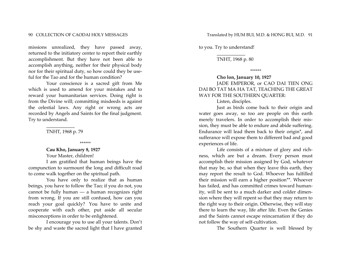missions unrealized, they have passe<sup>d</sup> away, returned to the initiatory center to repor<sup>t</sup> their earthly accomplishment. But they have not been able to accomplish anything, neither for their physical body nor for their spiritual duty, so how could they be useful for the Tao and for the human condition?

Your conscience is a sacred gift from Me which is used to amend for your mistakes and to reward your humanitarian services. Doing right is from the Divine will; committing misdeeds is against the celestial laws. Any right or wrong acts are recorded by Angels and Saints for the final judgment. Try to understand.

TNHT, 1968 p. 79

#### \*\*\*\*\*\*

**Cau Kho, January 8, <sup>1927</sup>**

Your Master, children!

I am gratified that human beings have the compunction to surmount the long and difficult road to come walk together on the spiritual path.

You have only to realize that as human beings, you have to follow the Tao; if you do not, you cannot be fully human — a human recognizes right from wrong. If you are still confused, how can you reach your goa<sup>l</sup> quickly? You have to unite and cooperate with each other, pu<sup>t</sup> aside all secular misconceptions in order to be enlightened.

I encourage you to use all your talents. Don't be shy and waste the sacred light that <sup>I</sup> have granted

OF CAODAI HOLY MESSAGES Translated by HUM BUI, M.D. & HONG BUI, M.D. 91

to you. Try to understand!

# TNHT, 1968 p. 80

\*\*\*\*\*\*

## **Cho lon, January 10, <sup>1927</sup>**

# JADE EMPEROR, or CAO DAI TIEN ONG DAI BO TAT MA HA TAT, TEACHING THE GREAT WAY FOR THE SOUTHERN QUARTER:

Listen, disciples.

Just as birds come back to their origin and water goes away, so too are people on this earth merely travelers. In order to accomplish their mission, they must be able to endure and abide suffering. Endurance will lead them back to their origin\*, and sufferance will expose them to different bad and goo<sup>d</sup> experiences of life.

Life consists of a mixture of glory and richness, which are but a dream. Every person must accomplish their mission assigned by God, whatever that may be, so that when they leave this earth, they may repor<sup>t</sup> the result to God. Whoever has fulfilled their mission will earn a higher position\*\*. Whoever has failed, and has committed crimes toward humanity, will be sent to a much darker and colder dimension where they will repen<sup>t</sup> so that they may return to the right way to their origin. Otherwise, they will stay there to learn the way, life after life. Even the Genies and the Saints cannot escape reincarnation if they do not follow the way of self-cultivation.

The Southern Quarter is well blessed by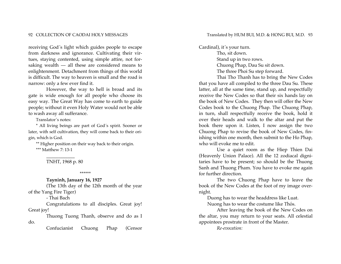receiving God´s light which guides people to escape from darkness and ignorance. Cultivating their virtues, staying contented, using simple attire, not forsaking wealth — all these are considered means to enlightenment. Detachment from things of this world is difficult. The way to heaven is small and the road is narrow: only a few ever find it.

However, the way to hell is broad and its gate is wide enough for all people who choose its easy way. The Great Way has come to earth to guide people; without it even Holy Water would not be able to wash away all sufferance.

Translator´s notes:

\* All living beings are par<sup>t</sup> of God´s spirit. Sooner or later, with self cultivation, they will come back to their origin, which is God.

\*\* Higher position on their way back to their origin. \*\*\* Matthew 7: 13-1

TNHT, 1968 p. 80

#### \*\*\*\*\*\*

#### **Tayninh, January 16, <sup>1927</sup>**

(The 13th day of the 12th month of the year of the Yang Fire Tiger)

- Thai Bach

Congratulations to all disciples. Great joy! Great joy!

Thuong Tuong Thanh, observe and do as <sup>I</sup> do.

> ConfucianistChuong Phap (Censor

Cardinal), it´s your turn.

Tho, sit down. Stand up in two rows. Chuong Phap, Dau Su sit down. The three Phoi Su step forward.

Thai Tho Thanh has to bring the New Codes that you have all compiled to the three Dau Su. These latter, all at the same time, stand up, and respectfully receive the New Codes so that their six hands lay on the book of New Codes. They then will offer the New Codes book to the Chuong Phap. The Chuong Phap, in turn, shall respectfully receive the book, hold it over their heads and walk to the altar and pu<sup>t</sup> the book there upon it. Listen, <sup>I</sup> now assign the two Chuong Phap to revise the book of New Codes, finishing within one month, then submit to the Ho Phap, who will evoke me to edit.

Use a quiet room as the Hiep Thien Dai (Heavenly Union Palace). All the <sup>12</sup> zodiacal dignitaries have to be present; so should be the Thuong Sanh and Thuong Pham. You have to evoke me again for further direction.

The two Chuong Phap have to leave the book of the New Codes at the foot of my image overnight.

Duong has to wear the headdress like Luat.

Nuong has to wear the costume like Thós.

After leaving the book of the New Codes on the altar, you may return to your seats. All celestial appointees prostrate in front of the Master.

*Re-evocation:*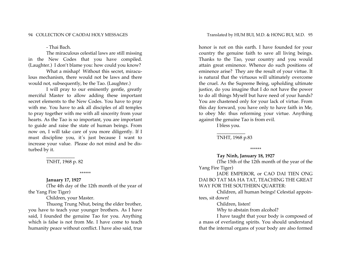- Thai Bach.

The miraculous celestial laws are still missing in the New Codes that you have compiled. (Laughter.) <sup>I</sup> don't blame you: how could you know?

What a mishap! Without this secret, miraculous mechanism, there would not be laws and there would not, subsequently, be the Tao. (Laughter.)

I will pray to our eminently gentle, greatly merciful Master to allow adding these important secret elements to the New Codes. You have to pray with me. You have to ask all disciples of all temples to pray together with me with all sincerity from your hearts. As the Tao is so important, you are important to guide and raise the state of human beings. From now on, <sup>I</sup> will take care of you more diligently. If <sup>I</sup> must discipline you, it´s just because <sup>I</sup> want to increase your value. Please do not mind and be disturbed by it.

TNHT, 1968 p. 82

\*\*\*\*\*\*

**January 17, 1927**

(The 4th day of the 12th month of the year of the Yang Fire Tiger)

Children, your Master.

Thuong Trung Nhut, being the elder brother, you have to teach your younger brothers. As <sup>I</sup> have said, <sup>I</sup> founded the genuine Tao for you. Anything which is false is not from Me. I have come to teach humanity peace without conflict. <sup>I</sup> have also said, true

honor is not on this earth. I have founded for your country the genuine faith to save all living beings. Thanks to the Tao, your country and you would attain grea<sup>t</sup> eminence. Whence do such positions of eminence arise? They are the result of your virtue. It is natural that the virtuous will ultimately overcome the cruel. As the Supreme Being, upholding ultimate justice, do you imagine that <sup>I</sup> do not have the power to do all things Myself but have need of your hands? You are chastened only for your lack of virtue. From this day forward, you have only to have faith in Me, to obey Me: thus reforming your virtue. Anything against the genuine Tao is from evil.

I bless you.

\_\_\_\_\_\_\_\_\_\_\_\_\_\_\_\_\_\_\_\_ TNHT, 1968 p.83

\*\*\*\*\*\*

**Tay Ninh, January 18, <sup>1927</sup>**

(The 15th of the 12th month of the year of the Yang Fire Tiger)

JADE EMPEROR, or CAO DAI TIEN ONG DAI BO TAT MA HA TAT, TEACHING THE GREAT WAY FOR THE SOUTHERN QUARTER:

Children, all human beings! Celestial appointees, sit down!

Children, listen!

Why to abstain from alcohol?

I have taught that your body is compose<sup>d</sup> of a mass of everlasting spirits. You should understand that the internal organs of your body are also formed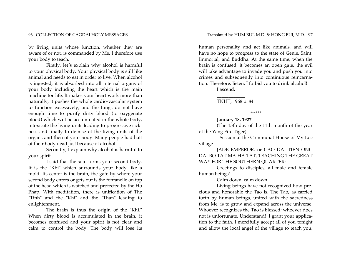by living units whose function, whether they are aware of or not, is commanded by Me. <sup>I</sup> therefore use your body to teach.

Firstly, let´s explain why alcohol is harmful to your physical body. Your physical body is still like animal and needs to eat in order to live. When alcohol is ingested, it is absorbed into all internal organs of your body including the heart which is the main machine for life. It makes your heart work more than naturally, it pushes the whole cardio-vascular system to function excessively, and the lungs do not have enough time to purify dirty blood (to oxygenate blood) which will be accumulated in the whole body, intoxicate the living units leading to progressive sickness and finally to demise of the living units of the organs and then of your body. Many people had half of their body dead just because of alcohol.

Secondly, <sup>I</sup> explain why alcohol is harmful to your spirit.

I said that the soul forms your second body. It is the "Khi" which surrounds your body like a mold. Its center is the brain, the gate by where your second body enters or gets out is the fontanelle on top of the head which is watched and protected by the Ho Phap. With meditation, there is unification of The "Tinh" and the "Khi" and the "Than" leading to enlightenment.

The brain is thus the origin of the "Khi." When dirty blood is accumulated in the brain, it becomes confused and your spirit is not clear and calm to control the body. The body will lose its

human personality and act like animals, and will have no hope to progress to the state of Genie, Saint, Immortal, and Buddha. At the same time, when the brain is confused, it becomes an open gate, the evil will take advantage to invade you and push you into crimes and subsequently into continuous reincarnation. Therefore, listen, <sup>I</sup> forbid you to drink alcohol! I ascend.

# TNHT, 1968 p. 84

\_\_\_\_\_\_\_\_\_\_\_\_\_\_\_\_\_\_\_\_

#### \*\*\*\*\*\*

## **January 18, 1927**

(The 15th day of the 11th month of the year of the Yang Fire Tiger)

- Session at the Communal House of My Loc village

JADE EMPEROR, or CAO DAI TIEN ONG DAI BO TAT MA HA TAT, TEACHING THE GREAT WAY FOR THE SOUTHERN QUARTER:

Greetings to disciples, all male and female human beings!

Calm down, calm down.

Living beings have not recognized how precious and honorable the Tao is. The Tao, as carried forth by human beings, united with the sacredness from Me, is to grow and expan<sup>d</sup> across the universe. Whoever recognizes the Tao is blessed; whoever does not is unfortunate. Understand! <sup>I</sup> gran<sup>t</sup> your application to the faith. <sup>I</sup> mercifully accep<sup>t</sup> all of you tonight and allow the local ange<sup>l</sup> of the village to teach you,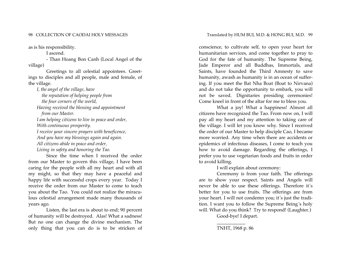as is his responsibility.

I ascend.

- Than Hoang Bon Canh (Local Angel of the village)

Greetings to all celestial appointees. Greetings to disciples and all people, male and female, of the village.

*I, the angel of the village, have*

*the reputation of helping people from the four corners of the world, Having received the blessing and appointment*

*from our Master.*

*I am helping citizens to live in peace and order, With continuous prosperity.*

*I receive your sincere prayers with beneficence,*

*And you have my blessings again and again.*

*All citizens abide in peace and order,*

*Living in safety and honoring the Tao.*

Since the time when I received the order from our Master to govern this village, <sup>I</sup> have been caring for the people with all my heart and with all my might, so that they may have a peaceful and happy life with successful crops every year. Today <sup>I</sup> receive the order from our Master to come to teach you about the Tao. You could not realize the miraculous celestial arrangemen<sup>t</sup> made many thousands of years ago.

Listen, the last era is about to end; <sup>90</sup> percen<sup>t</sup> of humanity will be destroyed. Alas! What a sadness! But no one can change the divine mechanism. The only thing that you can do is to be stricken of conscience, to cultivate self, to open your heart for humanitarian services, and come together to pray to God for the fate of humanity. The Supreme Being, Jade Emperor and all Buddhas, Immortals, and Saints, have founded the Third Amnesty to save humanity, awash as humanity is in an ocean of suffering. If you meet the Bat Nha Boat (Boat to Nirvana) and do not take the opportunity to embark, you will not be saved. Dignitaries presiding ceremonies! Come kneel in front of the altar for me to bless you.

What a joy! What a happiness! Almost all citizens have recognized the Tao. From now on, <sup>I</sup> will pay all my heart and my attention to taking care of the village. <sup>I</sup> will let you know why. Since <sup>I</sup> received the order of our Master to help disciple Cao, <sup>I</sup> became more worried. Any time when there are accidents or epidemics of infectious diseases, <sup>I</sup> come to teach you how to avoid damage. Regarding the offerings, <sup>I</sup> prefer you to use vegetarian foods and fruits in order to avoid killing.

I will explain about ceremony:

Ceremony is from your faith. The offerings are to show your respect. Saints and Angels will never be able to use these offerings. Therefore it´s better for you to use fruits. The offerings are from your heart. <sup>I</sup> will not condemn you; it´s just the tradition. I want you to follow the Supreme Being´s holy will. What do you think? Try to respond! (Laughter.) Good-bye! <sup>I</sup> depart.

TNHT, 1968 p. 86

\_\_\_\_\_\_\_\_\_\_\_\_\_\_\_\_\_\_\_\_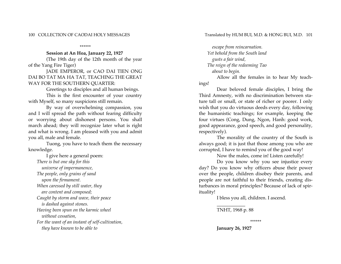## 100 COLLECTION OF CAODAI HOLY MESSAGES Translated by HUM BUI, M.D.

\*\*\*\*\*\*

# **Session at An Hoa, January 22, 1927**

(The 19th day of the 12th month of the year of the Yang Fire Tiger)

JADE EMPEROR, or CAO DAI TIEN ONG DAI BO TAT MA HA TAT, TEACHING THE GREAT WAY FOR THE SOUTHERN QUARTER:

Greetings to disciples and all human beings.

This is the first encounter of your country with Myself, so many suspicions still remain.

By way of overwhelming compassion, you and <sup>I</sup> will sprea<sup>d</sup> the path without fearing difficulty or worrying about dishonest persons. You shall march ahead; they will recognize later what is right and what is wrong. <sup>I</sup> am pleased with you and admit you all, male and female.

Tuong, you have to teach them the necessary knowledge.

I give here a general poem: *There is but one sky for this universe of impermanence, The people, only grains of sand upon the firmament. When caressed by still water, they are content and composed; Caught by storm and wave, their peace is dashed against stones. Having been spun on the karmic wheel without cessation, For the want of an instant of self-cultivation, they have known to be able to*

& HONG BUI, M.D. 101

*escape from reincarnation. Yet behold from the South land gusts <sup>a</sup> fair wind, The reign of the redeeming Tao about to begin.*

Allow all the females in to hear My teachings!

Dear beloved female disciples, <sup>I</sup> bring the Third Amnesty, with no discrimination between stature tall or small, or state of richer or poorer. <sup>I</sup> only wish that you do virtuous deeds every day, following the humanistic teachings; for example, keeping the four virtues (Cong, Dung, Ngon, Hanh: goo<sup>d</sup> work, goo<sup>d</sup> appearance, goo<sup>d</sup> speech, and goo<sup>d</sup> personality, respectively).

The morality of the country of the South is always good; it is just that those among you who are corrupted, <sup>I</sup> have to remind you of the goo<sup>d</sup> way!

Now the males, come in! Listen carefully!

Do you know why you see injustice every day? Do you know why officers abuse their power over the people, children disobey their parents, and people are not faithful to their friends, creating disturbances in moral principles? Because of lack of spirituality!

I bless you all, children. <sup>I</sup> ascend.

TNHT, 1968 p. 88

\_\_\_\_\_\_\_\_\_\_\_\_\_\_\_\_\_\_\_\_

\*\*\*\*\*\*

**January 26, 1927**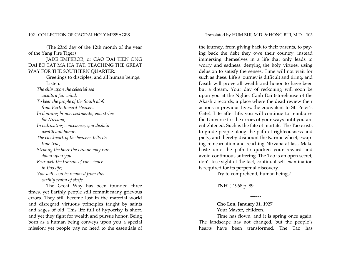#### 102 COLLECTION OF CAODAI HOLY MESSAGES Translated by HUM BUI, M.D.

(The 23rd day of the 12th month of the year of the Yang Fire Tiger)

JADE EMPEROR, or CAO DAI TIEN ONG DAI BO TAT MA HA TAT, TEACHING THE GREAT WAY FOR THE SOUTHERN QUARTER:

Greetings to disciples, and all human beings. Listen:*The ship upon the celestial sea awaits a fair wind, To bear the people of the South aloft from Earth toward Heaven. In donning brown vestments, you strive for Nirvana, In cultivating conscience, you disdain wealth and honor. The clockwork of the heavens tells its time true, Striking the hour the Divine may rain down upon you. Bear well the travails of conscience in this life; You will soon be removed from this earthly realm of strife.*

The Great Way has been founded three times, ye<sup>t</sup> Earthly people still commit many grievous errors. They still become lost in the material world and disregard virtuous principles taught by saints and sages of old. This life full of hypocrisy is short, and ye<sup>t</sup> they fight for wealth and pursue honor. Being born as a human being conveys upon you a special mission; ye<sup>t</sup> people pay no heed to the essentials of

#### & HONG BUI, M.D. 103

the journey, from giving back to their parents, to paying back the debt they owe their country, instead immersing themselves in a life that only leads to worry and sadness, denying the holy virtues, using delusion to satisfy the senses. Time will not wait for such as these. Life´s journey is difficult and tiring, and Death will prove all wealth and honor to have been but a dream. Your day of reckoning will soon be upon you at the Nghiet Canh Dai (storehouse of the Akashic records; a place where the dead review their actions in previous lives, the equivalent to St. Peter´s Gate). Life after life, you will continue to reimburse the Universe for the errors of your ways until you are enlightened. Such is the fate of mortals. The Tao exists to guide people along the path of righteousness and piety, and thereby dismount the Karmic wheel, escaping reincarnation and reaching Nirvana at last. Make haste unto the path to quicken your reward and avoid continuous suffering. The Tao is an open secret; don't lose sight of the fact, continual self-examination is required for its perpetual discovery.

Try to comprehend, human beings!

TNHT, 1968 p. 89

\*\*\*\*\*\*

**Cho Lon, January 31, 1927** Your Master, children.

Time has flown, and it is spring once again. The landscape has not changed, but the people´s hearts have been transformed. The Tao has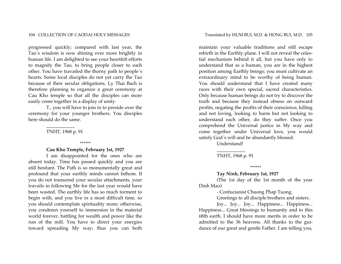progresse<sup>d</sup> quickly; compare<sup>d</sup> with last year, the Tao´s wisdom is now shining ever more brightly in human life. I am delighted to see your heartfelt efforts to magnify the Tao, to bring people closer to each other. You have travailed the thorny path to people´s hearts. Some local disciples do not ye<sup>t</sup> carry the Tao because of their secular obligations. Ly Thai Bach is therefore planning to organize a grea<sup>t</sup> ceremony at Cau Kho temple so that all the disciples can more easily come together in a display of unity.

T., you will have to join in to preside over the ceremony for your younger brothers. You disciples here should do the same.

TNHT, 1968 p. 91

#### \*\*\*\*\*\*

## **Cau Kho Temple, February 1st, <sup>1927</sup>**

I am disappointed for the ones who are absent today. Time has passe<sup>d</sup> quickly and you are still hesitant. The Path is so monumentally grea<sup>t</sup> and profound that your earthly minds cannot fathom. If you do not transcend your secular attachments, your travails in following Me for the last year would have been wasted. The earthly life has so much torment to begin with, and you live in a most difficult time, so you should contemplate spirituality more; otherwise, you condemn yourself to immersion in the material world forever, battling for wealth and power like the run of the mill. You have to direct your energies toward spreading My way; thus you can both

maintain your valuable traditions and still escape rebirth in the Earthly plane. <sup>I</sup> will not reveal the celestial mechanism behind it all, but you have only to understand that as a human, you are in the highest position among Earthly beings; you must cultivate an extraordinary mind to be worthy of being human. You should understand that <sup>I</sup> have created many races with their own special, sacred characteristics. Only because human beings do not try to discover the truth and because they instead obsess on outward profits, negating the profits of their conscience, killing and not loving, looking to harm but not looking to understand each other, do they suffer. Once you comprehend the Universal justice in My way and come together under Universal love, you would satisfy God´s will and be abundantly blessed.

Understand!\_\_\_\_\_\_\_\_\_\_\_\_\_\_\_\_\_\_\_\_

# TNHT, 1968 p. 91

\*\*\*\*\*\*

## **Tay Ninh, February 1st, <sup>1927</sup>**

(The 1st day of the 1st month of the year Dinh Mao)

- Confucianist Chuong Phap Tuong.

Greetings to all disciple brothers and sisters.

Joy... Joy... Joy... Happiness... Happiness... Happiness... Great blessings to humanity and to this 68th earth. I should have more merits in order to be admitted to the <sup>36</sup> heavens. All thanks to the guidance of our grea<sup>t</sup> and gentle Father. <sup>I</sup> am telling you,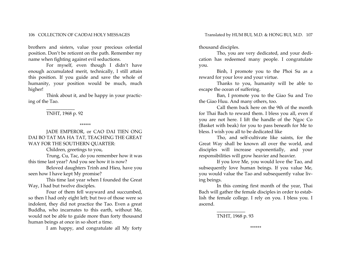brothers and sisters, value your precious celestial position. Don't be reticent on the path. Remember my name when fighting against evil seductions.

For myself, even though <sup>I</sup> didn't have enough accumulated merit, technically, <sup>I</sup> still attain this position. If you guide and save the whole of humanity, your position would be much, much higher!

Think about it, and be happy in your practicing of the Tao.

TNHT, 1968 p. 92

#### \*\*\*\*\*\*

# JADE EMPEROR, or CAO DAI TIEN ONG DAI BO TAT MA HA TAT, TEACHING THE GREAT WAY FOR THE SOUTHERN QUARTER:

Children, greetings to you,

Trung, Cu, Tac, do you remember how it was this time last year? And you see how it is now?

Beloved daughters Trinh and Hieu, have you seen how <sup>I</sup> have kept My promise?

This time last year when <sup>I</sup> founded the Great Way, <sup>I</sup> had but twelve disciples.

Four of them fell wayward and succumbed, so then I had only eight left; but two of those were so indolent, they did not practice the Tao. Even a great Buddha, who incarnates to this earth, without Me, would not be able to guide more than forty thousand human beings at once in so short a time.

I am happy, and congratulate all My forty

OF CAODAI HOLY MESSAGES Translated by HUM BUI, M.D. & HONG BUI, M.D. 107

thousand disciples.

Tho, you are very dedicated, and your dedication has redeemed many people. <sup>I</sup> congratulate you.

Binh, <sup>I</sup> promote you to the Phoi Su as a reward for your love and your virtue.

Thanks to you, humanity will be able to escape the ocean of suffering.

Ban, <sup>I</sup> promote you to the Giao Su and Tro the Giao Huu. And many others, too.

Call them back here on the 9th of the month for Thai Bach to reward them. <sup>I</sup> bless you all, even if you are not here. <sup>I</sup> lift the handle of the Ngoc Co (Basket with beak) for you to pass beneath for Me to bless. I wish you all to be dedicated like

Tho, and self-cultivate like saints, for the Great Way shall be known all over the world, and disciples will increase exponentially, and your responsibilities will grow heavier and heavier.

If you love Me, you would love the Tao, and subsequently love human beings. If you value Me, you would value the Tao and subsequently value living beings.

In this coming first month of the year, Thai Bach will gather the female disciples in order to establish the female college. <sup>I</sup> rely on you. <sup>I</sup> bless you. <sup>I</sup> ascend.

TNHT, 1968 p. 93

\*\*\*\*\*\*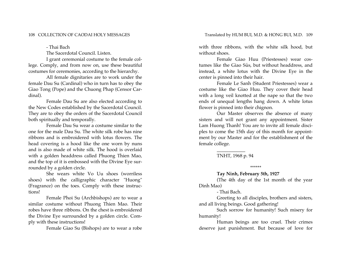- Thai Bach

The Sacerdotal Council. Listen.

I gran<sup>t</sup> ceremonial costume to the female college. Comply, and from now on, use these beautiful costumes for ceremonies, according to the hierarchy.

All female dignitaries are to work under the female Dau Su (Cardinal) who in turn has to obey the Giao Tong (Pope) and the Chuong Phap (Censor Cardinal).

Female Dau Su are also elected according to the New Codes established by the Sacerdotal Council. They are to obey the orders of the Sacerdotal Council both spiritually and temporally.

Female Dau Su wear a costume similar to the one for the male Dau Su. The white silk robe has nine ribbons and is embroidered with lotus flowers. The head covering is a hood like the one worn by nuns and is also made of white silk. The hood is overlaid with a golden headdress called Phuong Thien Mao, and the top of it is embossed with the Divine Eye surrounded by a golden circle.

She wears white Vo Uu shoes (worriless shoes) with the calligraphic character "Huong" (Fragrance) on the toes. Comply with these instructions!

Female Phoi Su (Archbishops) are to wear a similar costume without Phuong Thien Mao. Their robes have three ribbons. On the chest is embroideredthe Divine Eye surrounded by a golden circle. Comply with these instructions!

Female Giao Su (Bishops) are to wear a robe

with three ribbons, with the white silk hood, but without shoes.

Female Giao Huu (Priestesses) wear costumes like the Giao Sús, but without headdress, and instead, a white lotus with the Divine Eye in the center is pinned into their hair.

Female Le Sanh (Student Priestesses) wear acostume like the Giao Huu. They cover their head with a long veil knotted at the nape so that the two ends of unequa<sup>l</sup> lengths hang down. A white lotus flower is pinned into their chignon.

Our Master observes the absence of many sisters and will not gran<sup>t</sup> any appointment. Sister Lam Huong Thanh! You are to invite all female disciples to come the 15th day of this month for appointment by our Master and for the establishment of the female college.

# TNHT, 1968 p. 94

\_\_\_\_\_\_\_\_\_\_\_\_\_\_\_\_\_\_\_\_

#### \*\*\*\*\*\*

#### **Tay Ninh, February 5th, <sup>1927</sup>**

(The 4th day of the 1st month of the year Dinh Mao)

- Thai Bach.

Greeting to all disciples, brothers and sisters, and all living beings. Good gathering!

Such sorrow for humanity! Such misery for humanity!

Human beings are too cruel. Their crimes deserve just punishment. But because of love for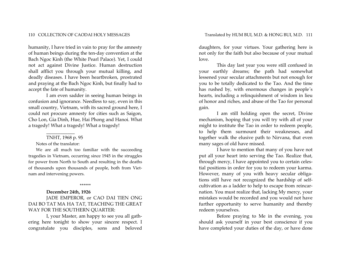humanity, <sup>I</sup> have tried in vain to pray for the amnesty of human beings during the ten-day convention at the Bach Ngoc Kinh (the White Pearl Palace). Yet, <sup>I</sup> could not act against Divine Justice. Human destruction shall afflict you through your mutual killing, and deadly diseases. <sup>I</sup> have been heartbroken, prostrated and praying at the Bach Ngoc Kinh, but finally had to accep<sup>t</sup> the fate of humanity.

I am even sadder in seeing human beings in confusion and ignorance. Needless to say, even in this small country, Vietnam, with its sacred groun<sup>d</sup> here, <sup>I</sup> could not procure amnesty for cities such as Saigon, Cho Lon, Gia Dinh, Hue, Hai Phong and Hanoi. What a tragedy! What a tragedy! What a tragedy!

TNHT, 1968 p. 95

\_\_\_\_\_\_\_\_\_\_\_\_\_\_\_\_\_\_\_\_

Notes of the translator:

We are all much too familiar with the succeeding tragedies in Vietnam, occurring since <sup>1945</sup> in the struggles for power from North to South and resulting in the deaths of thousands upon thousands of people, both from Vietnam and intervening powers.

#### \*\*\*\*\*\*

### **December 24th, 1926**

JADE EMPEROR, or CAO DAI TIEN ONG DAI BO TAT MA HA TAT, TEACHING THE GREAT WAY FOR THE SOUTHERN QUARTER:

I, your Master, am happy to see you all gathering here tonight to show your sincere respect. <sup>I</sup> congratulate you disciples, sons and beloved daughters, for your virtues. Your gathering here is not only for the faith but also because of your mutual love.

This day last year you were still confused in your earthly dreams; the path had somewhat lessened your secular attachments but not enough for you to be totally dedicated to the Tao. And the time has rushed by, with enormous changes in people´s hearts, including a relinquishment of wisdom in lieu of honor and riches, and abuse of the Tao for persona<sup>l</sup> gain.

I am still holding open the secret, Divine mechanism, hoping that you will try with all of your might to institute the Tao in order to redeem people, to help them surmount their weaknesses, and together walk the elusive path to Nirvana, that even many sages of old have missed.

I have to mention that many of you have not pu<sup>t</sup> all your heart into serving the Tao. Realize that, through mercy, <sup>I</sup> have appointed you to certain celestial positions in order for you to redeem your karma. However, many of you with heavy secular obligations still have not recognized the hardship of selfcultivation as a ladder to help to escape from reincarnation. You must realize that, lacking My mercy, your mistakes would be recorded and you would not have further opportunity to serve humanity and thereby redeem yourselves.

Before praying to Me in the evening, you should ask yourself in your best conscience if you have completed your duties of the day, or have done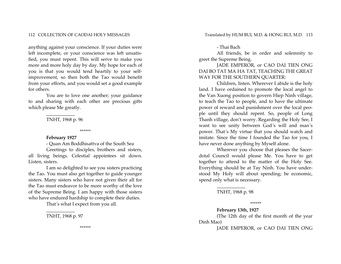anything against your conscience. If your duties were left incomplete, or your conscience was left unsatisfied, you must repent. This will serve to make you more and more holy day by day. My hope for each of you is that you would tend heartily to your selfimprovement, so then both the Tao would benefit from your efforts, and you would set a good example for others.

You are to love one another; your guidance to and sharing with each other are precious gifts which please Me greatly.

TNHT, 1968 p. 96

\_\_\_\_\_\_\_\_\_\_\_\_\_\_\_\_\_\_\_\_

\*\*\*\*\*\*

## **February <sup>1927</sup>**

- Quan Am Boddhisattva of the South Sea Greetings to disciples, brothers and sisters, all living beings. Celestial appointees sit down. Listen, sisters.

I am so delighted to see you sisters practicing the Tao. You must also ge<sup>t</sup> together to guide younger sisters. Many sisters who have not given their all for the Tao must endeavor to be more worthy of the love of the Supreme Being. <sup>I</sup> am happy with those sisters who have endured hardship to complete their duties.

That´s what <sup>I</sup> expec<sup>t</sup> from you all.

TNHT, 1968 p. 97

\*\*\*\*\*\*

- Thai Bach

All friends, be in order and solemnity to gree<sup>t</sup> the Supreme Being.

# JADE EMPEROR, or CAO DAI TIEN ONG DAI BO TAT MA HA TAT, TEACHING THE GREAT WAY FOR THE SOUTHERN QUARTER:

Children, listen. Wherever <sup>I</sup> abide is the holy land. I have ordained to promote the local ange<sup>l</sup> to the Van Xuong position to govern Hiep Ninh village, to teach the Tao to people, and to have the ultimate power of reward and punishment over the local people until they should repent. So, people of Long Thanh village, don't worry. Regarding the Holy See, <sup>I</sup> want to see unity between God´s will and man´s power. That´s My virtue that you should watch and imitate. Since the time I founded the Tao for you, <sup>I</sup> have never done anything by Myself alone.

Wherever you choose that pleases the Sacerdotal Council would please Me. You have to ge<sup>t</sup> together to attend to the matter of the Holy See. Everything should be at Tay Ninh. You have understood My Holy will about spending; be economic, spen<sup>d</sup> only what is necessary.

TNHT, 1968 p. 98

\_\_\_\_\_\_\_\_\_\_\_\_\_\_\_\_\_\_\_\_

\*\*\*\*\*\*

## **February 13th, <sup>1927</sup>**

(The 12th day of the first month of the year Dinh Mao)

JADE EMPEROR, or CAO DAI TIEN ONG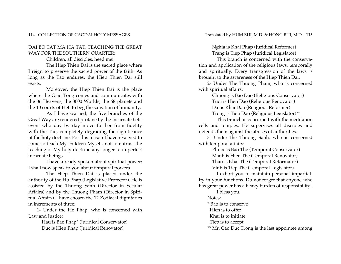# DAI BO TAT MA HA TAT, TEACHING THE GREAT WAY FOR THE SOUTHERN QUARTER:

Children, all disciples, heed me!

The Hiep Thien Dai is the sacred place where I reign to preserve the sacred power of the faith. As long as the Tao endures, the Hiep Thien Dai still exists.

Moreover, the Hiep Thien Dai is the place where the Giao Tong comes and communicates with the 36 Heavens, the <sup>3000</sup> Worlds, the <sup>68</sup> planets and the 10 courts of Hell to beg the salvation of humanity.

As I have warned, the five branches of the Great Way are rendered profane by the incarnate believers who day by day move further from fidelity with the Tao, completely degrading the significance of the holy doctrine. For this reason <sup>I</sup> have resolved to come to teach My children Myself, not to entrust the teaching of My holy doctrine any longer to imperfect incarnate beings.

I have already spoken about spiritual power; I shall now speak to you about temporal powers.

The Hiep Thien Dai is placed under the authority of the Ho Phap (Legislative Protector). He is assisted by the Thuong Sanh (Director in Secular Affairs) and by the Thuong Pham (Director in Spiritual Affairs). <sup>I</sup> have chosen the <sup>12</sup> Zodiacal dignitaries in increments of three;

1- Under the Ho Phap, who is concerned with Law and Justice:

> Hau is Bao Phap\* (Juridical Conservator) Duc is Hien Phap (Juridical Renovator)

OF CAODAI HOLY MESSAGES Translated by HUM BUI, M.D. & HONG BUI, M.D. 115

Nghia is Khai Phap (Juridical Reformer) Trang is Tiep Phap (Juridical Legislator)

This branch is concerned with the conservation and application of the religious laws, temporally and spiritually. Every transgression of the laws is brought to the awareness of the Hiep Thien Dai.

2- Under The Thuong Pham, who is concerned with spiritual affairs:

> Chuong is Bao Dao (Religious Conservator) Tuoi is Hien Dao (Religious Renovator) Dai is Khai Dao (Religious Reformer) Trong is Tiep Dao (Religious Legislator)\*\*

This branch is concerned with the meditation cells and temples. He supervises all disciples and defends them against the abuses of authorities.

3- Under the Thuong Sanh, who is concerned with temporal affairs:

Phuoc is Bao The (Temporal Conservator) Manh is Hien The (Temporal Renovator) Thau is Khai The (Temporal Reformator) Vinh is Tiep The (Temporal Legislator)

I exhort you to maintain persona<sup>l</sup> impartiality in your functions. Do not forget that anyone who has grea<sup>t</sup> power has a heavy burden of responsibility.

I bless you.

Notes:

\* Bao is to conserve

- Hien is to offer
- Khai is to initiate
- Tiep is to accep<sup>t</sup>

\*\* Mr. Cao Duc Trong is the last appointee among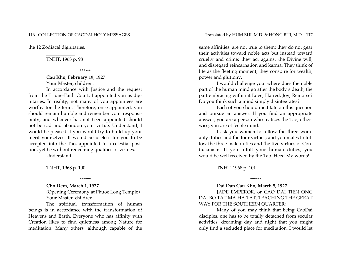the 12 Zodiacal dignitaries.

TNHT, 1968 p. 98

\*\*\*\*\*\*

## **Cau Kho, February 19, <sup>1927</sup>**

Your Master, children.

In accordance with Justice and the reques<sup>t</sup> from the Triune-Faith Court, <sup>I</sup> appointed you as dignitaries. In reality, not many of you appointees are worthy for the term. Therefore, once appointed, you should remain humble and remember your responsibility; and whoever has not been appointed should not be sad and abandon your virtue. Understand; <sup>I</sup> would be pleased if you would try to build up your merit yourselves. It would be useless for you to be accepted into the Tao, appointed to <sup>a</sup> celestial position, ye<sup>t</sup> be without redeeming qualities or virtues.

Understand!

TNHT, 1968 p. 100

\*\*\*\*\*\*

## **Cho Dem, March 1, 1927**

(Opening Ceremony at Phuoc Long Temple) Your Master, children.

The spiritual transformation of human beings is in accordance with the transformation of Heavens and Earth. Everyone who has affinity with Creation likes to find quietness among Nature for meditation. Many others, although capable of the

same affinities, are not true to them; they do not gear their activities toward noble acts but instead toward cruelty and crime: they act against the Divine will, and disregard reincarnation and karma. They think of life as the fleeting moment; they conspire for wealth, power and gluttony.

I would challenge you: where does the noble par<sup>t</sup> of the human mind go after the body´s death, the par<sup>t</sup> embracing within it Love, Hatred, Joy, Remorse? Do you think such <sup>a</sup> mind simply disintegrates?

Each of you should meditate on this question and pursue an answer. If you find an appropriate answer, you are <sup>a</sup> person who realizes the Tao; otherwise, you are of feeble mind.

I ask you women to follow the three womanly duties and the four virtues; and you males to follow the three male duties and the five virtues of Confucianism. If you fulfill your human duties, you would be well received by the Tao. Heed My words!

TNHT, 1968 p. 101

# \*\*\*\*\*\*

# **Dai Dan Cau Kho, March 5, 1927** JADE EMPEROR, or CAO DAI TIEN ONG DAI BO TAT MA HA TAT, TEACHING THE GREAT WAY FOR THE SOUTHERN QUARTER:

Many of you may think that being CaoDai disciples, one has to be totally detached from secular activities, dreaming day and night that you might only find <sup>a</sup> secluded place for meditation. <sup>I</sup> would let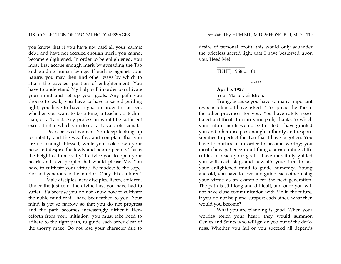you know that if you have not paid all your karmic debt, and have not accrued enough merit, you cannot become enlightened. In order to be enlightened, you must first accrue enough merit by spreading the Tao and guiding human beings. If such is against your nature, you may then find other ways by which to attain the coveted position of enlightenment. You have to understand My holy will in order to cultivate your mind and set up your goals. Any path you choose to walk, you have to have a sacred guiding light; you have to have a goal in order to succeed, whether you want to be a king, a teacher, a technician, or a Taoist. Any profession would be sufficient excep<sup>t</sup> that in which you do not act as a professional.

Dear, beloved women! You keep looking up to nobility and the wealthy, and complain that you are not enough blessed, while you look down your nose and despise the lowly and poorer people. This is the height of immorality! <sup>I</sup> advice you to open your hearts and love people; that would please Me. You have to cultivate your virtue. Be modest to the superior and generous to the inferior. Obey this, children!

Male disciples, new disciples, listen, children. Under the justice of the divine law, you have had to suffer. It´s because you do not know how to cultivate the noble mind that <sup>I</sup> have bequeathed to you. Your mind is ye<sup>t</sup> so narrow so that you do not progress and the path becomes increasingly difficult. Henceforth from your initiation, you must take heed to adhere to the right path, to guide each other clear of the thorny maze. Do not lose your character due to

OF CAODAI HOLY MESSAGES Translated by HUM BUI, M.D. & HONG BUI, M.D. 119

desire of persona<sup>l</sup> profit: this would only squander the priceless sacred light that <sup>I</sup> have bestowed upon you. Heed Me!

# TNHT, 1968 p. 101

\*\*\*\*\*\*

## **April 5, 1927**

Your Master, children.

Trung, because you have so many important responsibilities, <sup>I</sup> have asked T. to sprea<sup>d</sup> the Tao in the other provinces for you. You have safely negotiated a difficult turn in your path, thanks to which your future merits would be fulfilled. <sup>I</sup> have granted you and other disciples enough authority and responsibilities to perfect the Tao that <sup>I</sup> have begotten. You have to nurture it in order to become worthy; you must show patience in all things, surmounting difficulties to reach your goal. <sup>I</sup> have mercifully guided you with each step, and now it´s your turn to use your enlightened mind to guide humanity. Young and old, you have to love and guide each other using your virtue as an example for the next generation. The path is still long and difficult, and once you will not have close communication with Me in the future, if you do not help and suppor<sup>t</sup> each other, what then would you become?

What you are planning is good. When your worries touch your heart, they would summon Genies and Saints who will guide you out of the darkness. Whether you fail or you succeed all depends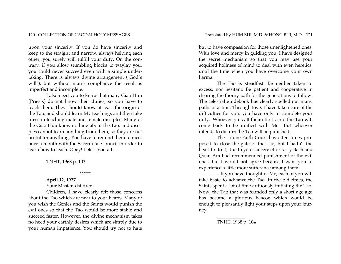upon your sincerity. If you do have sincerity and keep to the straight and narrow, always helping each other, you surely will fulfill your duty. On the contrary, if you allow stumbling blocks to waylay you, you could never succeed even with a simple undertaking. There is always divine arrangemen<sup>t</sup> ("God´s will"), but without man´s compliance the result is imperfect and incomplete.

I also need you to know that many Giao Huu (Priests) do not know their duties, so you have to teach them. They should know at least the origin of the Tao, and should learn My teachings and then take turns in teaching male and female disciples. Many of the Giao Huu know nothing about the Tao, and disciples cannot learn anything from them, so they are not useful for anything. You have to remind them to meet once a month with the Sacerdotal Council in order to learn how to teach. Obey! <sup>I</sup> bless you all.

TNHT, 1968 p. 103

\*\*\*\*\*\*

## **April 12, 1927**

Your Master, children.

Children, <sup>I</sup> have clearly felt those concerns about the Tao which are near to your hearts. Many of you wish the Genies and the Saints would punish the evil ones so that the Tao would be more stable and succeed faster. However, the divine mechanism takes no heed your earthly desires which are simply due to your human impatience. You should try not to hate

but to have compassion for those unenlightened ones. With love and mercy in guiding you, <sup>I</sup> have designed the secret mechanism so that you may use your acquired holiness of mind to deal with even heretics, until the time when you have overcome your own karma.

The Tao is steadfast. Be neither taken to excess, nor hesitant. Be patient and cooperative in clearing the thorny path for the generations to follow. The celestial guidebook has clearly spelled out many paths of action. Through love, <sup>I</sup> have taken care of the difficulties for you; you have only to complete your duty. Whoever puts all their efforts into the Tao will come back to be unified with Me. But whoever intends to disturb the Tao will be punished.

The Triune-Faith Court has often times propose<sup>d</sup> to close the gate of the Tao, but <sup>I</sup> hadn't the heart to do it, due to your sincere efforts. Ly Bach and Quan Am had recommended punishment of the evil ones, but <sup>I</sup> would not agree because <sup>I</sup> want you to experience a little more sufferance among them.

... If you have thought of Me, each of you will take haste to advance the Tao. In the old times, the Saints spent a lot of time arduously initiating the Tao. Now, the Tao that was founded only a short age ago has become a glorious beacon which would be enough to pleasantly light your steps upon your journey.

TNHT, 1968 p. 104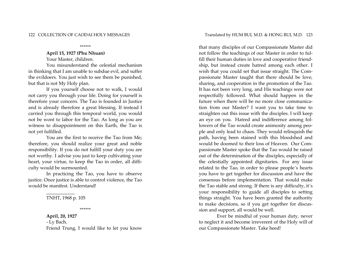#### \*\*\*\*\*\*

## **April 15, 1927 (Phu Nhuan)**

Your Master, children.

You misunderstand the celestial mechanismin thinking that <sup>I</sup> am unable to subdue evil, and suffer the evildoers. You just wish to see them be punished, but that is not My Holy plan.

If you yourself choose not to walk, <sup>I</sup> would not carry you through your life. Doing for yourself is therefore your concern. The Tao is founded in Justice and is already therefore a grea<sup>t</sup> blessing. If instead <sup>I</sup> carried you through this tempora<sup>l</sup> world, you would not be wont to labor for the Tao. As long as you are witness to disappointment on this Earth, the Tao is not ye<sup>t</sup> fulfilled.

You are the first to receive the Tao from Me; therefore, you should realize your grea<sup>t</sup> and noble responsibility. If you do not fulfill your duty you are not worthy. <sup>I</sup> advise you just to keep cultivating your heart, your virtue, to keep the Tao in order, all difficulty would be surmounted.

In practicing the Tao, you have to observe justice. Once justice is able to control violence, the Tao would be manifest. Understand!

TNHT, 1968 p. 105

\*\*\*\*\*\*

**April, 20, 1927** - Ly Bach. Friend Trung, <sup>I</sup> would like to let you know

that many disciples of our Compassionate Master did not follow the teachings of our Master in order to fulfill their human duties in love and cooperative friendship, but instead create hatred among each other. <sup>I</sup> wish that you could set that issue straight. The Compassionate Master taught that there should be love, sharing, and cooperation in the promotion of the Tao. It has not been very long, and His teachings were not respectfully followed. What should happen in the future when there will be no more close communication from our Master? <sup>I</sup> want you to take time to straighten out this issue with the disciples. <sup>I</sup> will keep an eye on you. Hatred and indifference among followers of the Tao would create animosity among people and only lead to chaos. They would relinquish the path, having been stained with this bloodshed and would be doomed to their loss of Heaven. Our Compassionate Master spoke that the Tao would be raised out of the determination of the disciples, especially of the celestially appointed dignitaries. For any issue related to the Tao, in order to please people´s hearts you have to ge<sup>t</sup> together for discussion and have the consensus before implementation. That would make the Tao stable and strong. If there is any difficulty, it´s your responsibility to guide all disciples to setting things straight. You have been granted the authority to make decisions, so if you ge<sup>t</sup> together for discussion and support, all would be well.

Ever be mindful of your human duty, never to neglect it and become irreverent of the Holy will of our Compassionate Master. Take heed!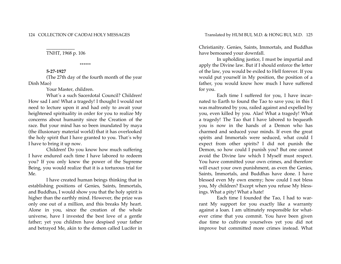TNHT, 1968 p. 106

\*\*\*\*\*\*

## **5-27-1927**

(The 27th day of the fourth month of the year Dinh Mao)

Your Master, children.

What´s a such Sacerdotal Council? Children! How sad I am! What a tragedy! <sup>I</sup> thought <sup>I</sup> would not need to lecture upon it and had only to await your heightened spirituality in order for you to realize My concerns about humanity since the Creation of the race. But your mind has so been inundated by maya (the illusionary material world) that it has overlooked the holy spirit that <sup>I</sup> have granted to you. That´s why I have to bring it up now.

Children! Do you know how much suffering I have endured each time I have labored to redeemyou? If you only knew the power of the Supreme Being, you would realize that it is a torturous trial for Me.

I have created human beings thinking that in establishing positions of Genies, Saints, Immortals, and Buddhas, <sup>I</sup> would show you that the holy spirit is higher than the earthly mind. However, the prize was only one out of a million, and this breaks My heart. Alone in you, since the creation of the whole universe, have I invested the best love of a gentle father; ye<sup>t</sup> you children have despised your father and betrayed Me, akin to the demon called Lucifer in

Christianity. Genies, Saints, Immortals, and Buddhas have bemoaned your downfall.

In upholding justice, <sup>I</sup> must be impartial and apply the Divine law. But if <sup>I</sup> should enforce the letter of the law, you would be exiled to Hell forever. If you would pu<sup>t</sup> yourself in My position, the position of a father, you would know how much <sup>I</sup> have suffered for you.

Each time I suffered for you, <sup>I</sup> have incarnated to Earth to found the Tao to save you; in this <sup>I</sup> was maltreated by you, railed against and expelled by you, even killed by you. Alas! What a tragedy! What a tragedy! The Tao that <sup>I</sup> have labored to bequeath you is now in the hands of a Demon who has charmed and seduced your minds. If even the grea<sup>t</sup> spirits and Immortals were seduced, what could <sup>I</sup> expec<sup>t</sup> from other spirits? <sup>I</sup> did not punish the Demon, so how could <sup>I</sup> punish you? But one cannot avoid the Divine law which <sup>I</sup> Myself must respect. You have committed your own crimes, and therefore will exact your own punishment, as even the Genies, Saints, Immortals, and Buddhas have done. I have blessed even My own enemy; how could <sup>I</sup> not bless you, My children? Except when you refuse My blessings. What a pity! What a hate!

Each time I founded the Tao, I had to warrant My suppor<sup>t</sup> for you exactly like a warranty against a loan. I am ultimately responsible for whatever crime that you commit. You have been given due time to cultivate yourselves ye<sup>t</sup> you did not improve but committed more crimes instead. What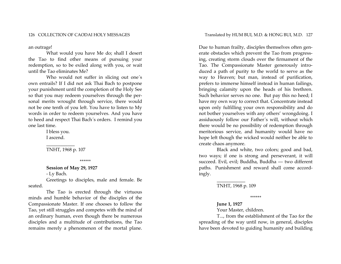an outrage!

What would you have Me do; shall <sup>I</sup> desert the Tao to find other means of pursuing your redemption, so to be exiled along with you, or wait until the Tao eliminates Me?

Who would not suffer in slicing out one´s own entrails? If I did not ask Thai Bach to postpone your punishment until the completion of the Holy See so that you may redeem yourselves through the personal merits wrought through service, there would not be one tenth of you left. You have to listen to My words in order to redeem yourselves. And you have to heed and respec<sup>t</sup> Thai Bach´s orders. <sup>I</sup> remind you one last time.

> I bless you. I ascend.

TNHT, 1968 p. 107

\*\*\*\*\*\*

# **Session of May 29, <sup>1927</sup>**

- Ly Bach.

Greetings to disciples, male and female. Be seated.

The Tao is erected through the virtuous minds and humble behavior of the disciples of the Compassionate Master. If one chooses to follow the Tao, ye<sup>t</sup> still struggles and competes with the mind of an ordinary human, even though there be numerous disciples and a multitude of contributions, the Tao remains merely a phenomenon of the mortal plane.

Due to human frailty, disciples themselves often generate obstacles which preven<sup>t</sup> the Tao from progressing, creating storm clouds over the firmament of the Tao. The Compassionate Master generously introduced a path of purity to the world to serve as the way to Heaven; but man, instead of purification, prefers to immerse himself instead in human failings, bringing calamity upon the heads of his brethren. Such behavior serves no one. But pay this no heed; <sup>I</sup> have my own way to correct that. Concentrate instead upon only fulfilling your own responsibility and do not bother yourselves with any others' wrongdoing. <sup>I</sup> assiduously follow our Father´s will, without which there would be no possibility of redemption through meritorious service, and humanity would have no hope left though the wicked would neither be able to create chaos anymore.

Black and white, two colors; goo<sup>d</sup> and bad, two ways; if one is strong and perseverant, it will succeed. Evil, evil; Buddha, Buddha — two different paths. Punishment and reward shall come accordingly.

TNHT, 1968 p. 109

\*\*\*\*\*\*

## **June 1, 1927**

Your Master, children.

T..., from the establishment of the Tao for the spreading of the way until now, in general, disciples have been devoted to guiding humanity and building